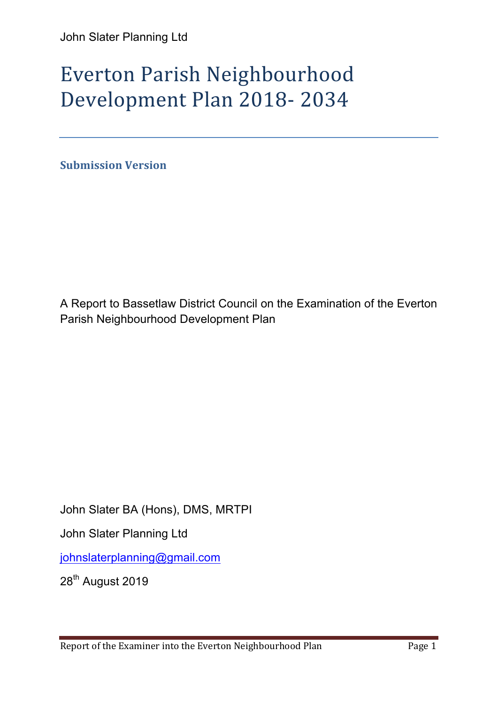# Everton Parish Neighbourhood Development Plan 2018- 2034

**Submission Version** 

A Report to Bassetlaw District Council on the Examination of the Everton Parish Neighbourhood Development Plan

John Slater BA (Hons), DMS, MRTPI

John Slater Planning Ltd

johnslaterplanning@gmail.com

28<sup>th</sup> August 2019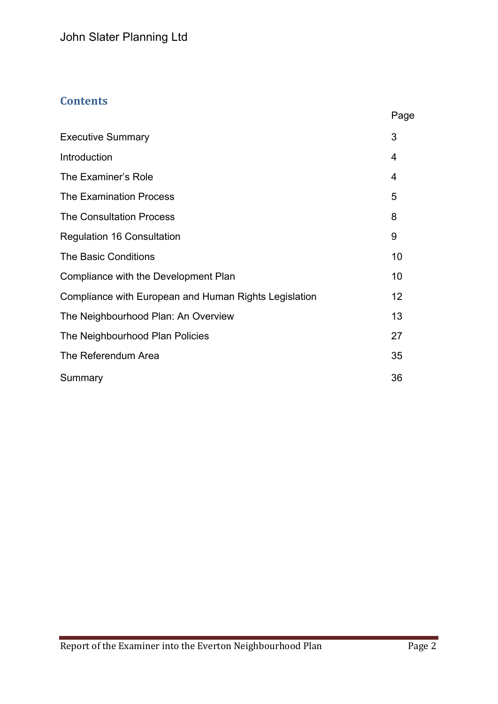# **Contents**

|                                                       | Page              |
|-------------------------------------------------------|-------------------|
| <b>Executive Summary</b>                              | 3                 |
| Introduction                                          | 4                 |
| The Examiner's Role                                   | 4                 |
| <b>The Examination Process</b>                        | 5                 |
| <b>The Consultation Process</b>                       | 8                 |
| <b>Regulation 16 Consultation</b>                     | 9                 |
| <b>The Basic Conditions</b>                           | 10                |
| Compliance with the Development Plan                  | 10                |
| Compliance with European and Human Rights Legislation | $12 \overline{ }$ |
| The Neighbourhood Plan: An Overview                   | 13                |
| The Neighbourhood Plan Policies                       | 27                |
| The Referendum Area                                   | 35                |
| Summary                                               | 36                |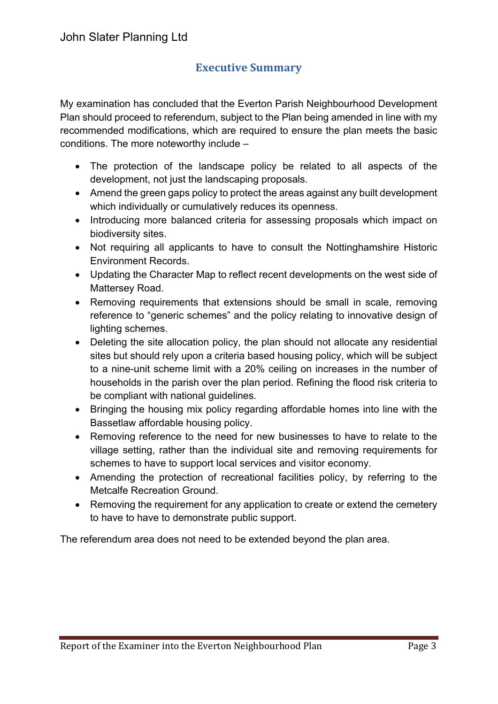# **Executive Summary**

My examination has concluded that the Everton Parish Neighbourhood Development Plan should proceed to referendum, subject to the Plan being amended in line with my recommended modifications, which are required to ensure the plan meets the basic conditions. The more noteworthy include –

- The protection of the landscape policy be related to all aspects of the development, not just the landscaping proposals.
- Amend the green gaps policy to protect the areas against any built development which individually or cumulatively reduces its openness.
- Introducing more balanced criteria for assessing proposals which impact on biodiversity sites.
- Not requiring all applicants to have to consult the Nottinghamshire Historic Environment Records.
- Updating the Character Map to reflect recent developments on the west side of Mattersey Road.
- Removing requirements that extensions should be small in scale, removing reference to "generic schemes" and the policy relating to innovative design of lighting schemes.
- Deleting the site allocation policy, the plan should not allocate any residential sites but should rely upon a criteria based housing policy, which will be subject to a nine-unit scheme limit with a 20% ceiling on increases in the number of households in the parish over the plan period. Refining the flood risk criteria to be compliant with national guidelines.
- Bringing the housing mix policy regarding affordable homes into line with the Bassetlaw affordable housing policy.
- Removing reference to the need for new businesses to have to relate to the village setting, rather than the individual site and removing requirements for schemes to have to support local services and visitor economy.
- Amending the protection of recreational facilities policy, by referring to the Metcalfe Recreation Ground.
- Removing the requirement for any application to create or extend the cemetery to have to have to demonstrate public support.

The referendum area does not need to be extended beyond the plan area.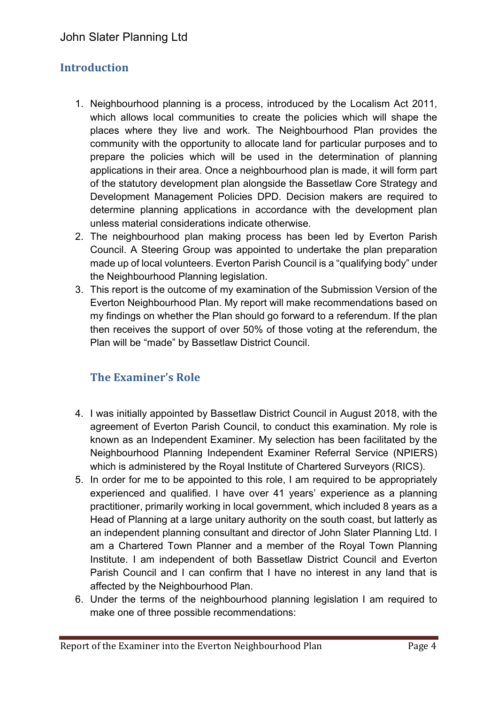# **Introduction**

- 1. Neighbourhood planning is a process, introduced by the Localism Act 2011, which allows local communities to create the policies which will shape the places where they live and work. The Neighbourhood Plan provides the community with the opportunity to allocate land for particular purposes and to prepare the policies which will be used in the determination of planning applications in their area. Once a neighbourhood plan is made, it will form part of the statutory development plan alongside the Bassetlaw Core Strategy and Development Management Policies DPD. Decision makers are required to determine planning applications in accordance with the development plan unless material considerations indicate otherwise.
- 2. The neighbourhood plan making process has been led by Everton Parish Council. A Steering Group was appointed to undertake the plan preparation made up of local volunteers. Everton Parish Council is a "qualifying body" under the Neighbourhood Planning legislation.
- 3. This report is the outcome of my examination of the Submission Version of the Everton Neighbourhood Plan. My report will make recommendations based on my findings on whether the Plan should go forward to a referendum. If the plan then receives the support of over 50% of those voting at the referendum, the Plan will be "made" by Bassetlaw District Council.

# **The Examiner's Role**

- 4. I was initially appointed by Bassetlaw District Council in August 2018, with the agreement of Everton Parish Council, to conduct this examination. My role is known as an Independent Examiner. My selection has been facilitated by the Neighbourhood Planning Independent Examiner Referral Service (NPIERS) which is administered by the Royal Institute of Chartered Surveyors (RICS).
- 5. In order for me to be appointed to this role, I am required to be appropriately experienced and qualified. I have over 41 years' experience as a planning practitioner, primarily working in local government, which included 8 years as a Head of Planning at a large unitary authority on the south coast, but latterly as an independent planning consultant and director of John Slater Planning Ltd. I am a Chartered Town Planner and a member of the Royal Town Planning Institute. I am independent of both Bassetlaw District Council and Everton Parish Council and I can confirm that I have no interest in any land that is affected by the Neighbourhood Plan.
- 6. Under the terms of the neighbourhood planning legislation I am required to make one of three possible recommendations: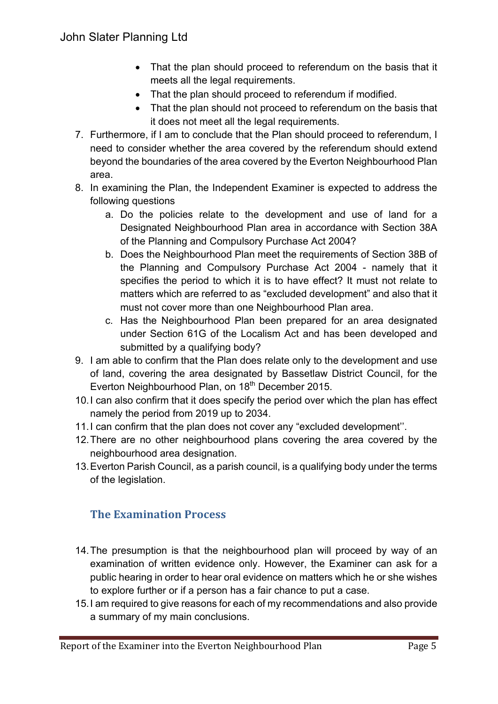- That the plan should proceed to referendum on the basis that it meets all the legal requirements.
- That the plan should proceed to referendum if modified.
- That the plan should not proceed to referendum on the basis that it does not meet all the legal requirements.
- 7. Furthermore, if I am to conclude that the Plan should proceed to referendum, I need to consider whether the area covered by the referendum should extend beyond the boundaries of the area covered by the Everton Neighbourhood Plan area.
- 8. In examining the Plan, the Independent Examiner is expected to address the following questions
	- a. Do the policies relate to the development and use of land for a Designated Neighbourhood Plan area in accordance with Section 38A of the Planning and Compulsory Purchase Act 2004?
	- b. Does the Neighbourhood Plan meet the requirements of Section 38B of the Planning and Compulsory Purchase Act 2004 - namely that it specifies the period to which it is to have effect? It must not relate to matters which are referred to as "excluded development" and also that it must not cover more than one Neighbourhood Plan area.
	- c. Has the Neighbourhood Plan been prepared for an area designated under Section 61G of the Localism Act and has been developed and submitted by a qualifying body?
- 9. I am able to confirm that the Plan does relate only to the development and use of land, covering the area designated by Bassetlaw District Council, for the Everton Neighbourhood Plan, on 18<sup>th</sup> December 2015.
- 10.I can also confirm that it does specify the period over which the plan has effect namely the period from 2019 up to 2034.
- 11.I can confirm that the plan does not cover any "excluded development''.
- 12.There are no other neighbourhood plans covering the area covered by the neighbourhood area designation.
- 13.Everton Parish Council, as a parish council, is a qualifying body under the terms of the legislation.

# **The Examination Process**

- 14.The presumption is that the neighbourhood plan will proceed by way of an examination of written evidence only. However, the Examiner can ask for a public hearing in order to hear oral evidence on matters which he or she wishes to explore further or if a person has a fair chance to put a case.
- 15.I am required to give reasons for each of my recommendations and also provide a summary of my main conclusions.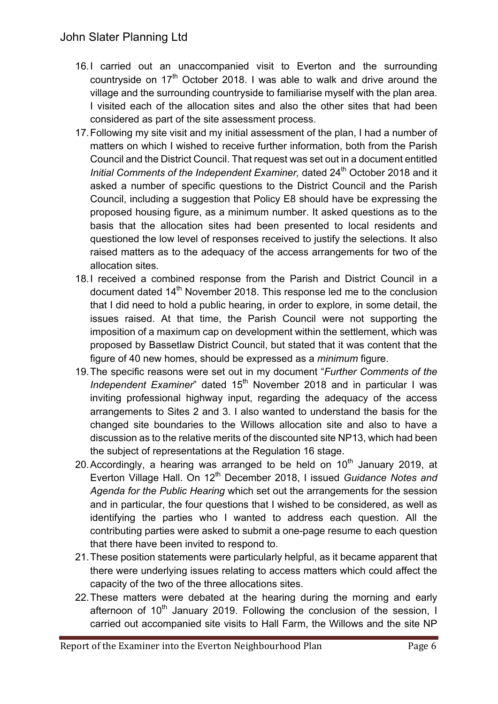- 16.I carried out an unaccompanied visit to Everton and the surrounding countryside on  $17<sup>th</sup>$  October 2018. I was able to walk and drive around the village and the surrounding countryside to familiarise myself with the plan area. I visited each of the allocation sites and also the other sites that had been considered as part of the site assessment process.
- 17.Following my site visit and my initial assessment of the plan, I had a number of matters on which I wished to receive further information, both from the Parish Council and the District Council. That request was set out in a document entitled *Initial* Comments of the *Independent Examiner*, dated 24<sup>th</sup> October 2018 and it asked a number of specific questions to the District Council and the Parish Council, including a suggestion that Policy E8 should have be expressing the proposed housing figure, as a minimum number. It asked questions as to the basis that the allocation sites had been presented to local residents and questioned the low level of responses received to justify the selections. It also raised matters as to the adequacy of the access arrangements for two of the allocation sites.
- 18.I received a combined response from the Parish and District Council in a document dated 14<sup>th</sup> November 2018. This response led me to the conclusion that I did need to hold a public hearing, in order to explore, in some detail, the issues raised. At that time, the Parish Council were not supporting the imposition of a maximum cap on development within the settlement, which was proposed by Bassetlaw District Council, but stated that it was content that the figure of 40 new homes, should be expressed as a *minimum* figure.
- 19.The specific reasons were set out in my document "*Further Comments of the Independent Examiner*" dated 15<sup>th</sup> November 2018 and in particular I was inviting professional highway input, regarding the adequacy of the access arrangements to Sites 2 and 3. I also wanted to understand the basis for the changed site boundaries to the Willows allocation site and also to have a discussion as to the relative merits of the discounted site NP13, which had been the subject of representations at the Regulation 16 stage.
- 20. Accordingly, a hearing was arranged to be held on  $10<sup>th</sup>$  January 2019, at Everton Village Hall. On 12<sup>th</sup> December 2018, I issued *Guidance Notes and Agenda for the Public Hearing* which set out the arrangements for the session and in particular, the four questions that I wished to be considered, as well as identifying the parties who I wanted to address each question. All the contributing parties were asked to submit a one-page resume to each question that there have been invited to respond to.
- 21.These position statements were particularly helpful, as it became apparent that there were underlying issues relating to access matters which could affect the capacity of the two of the three allocations sites.
- 22.These matters were debated at the hearing during the morning and early afternoon of  $10<sup>th</sup>$  January 2019. Following the conclusion of the session. I carried out accompanied site visits to Hall Farm, the Willows and the site NP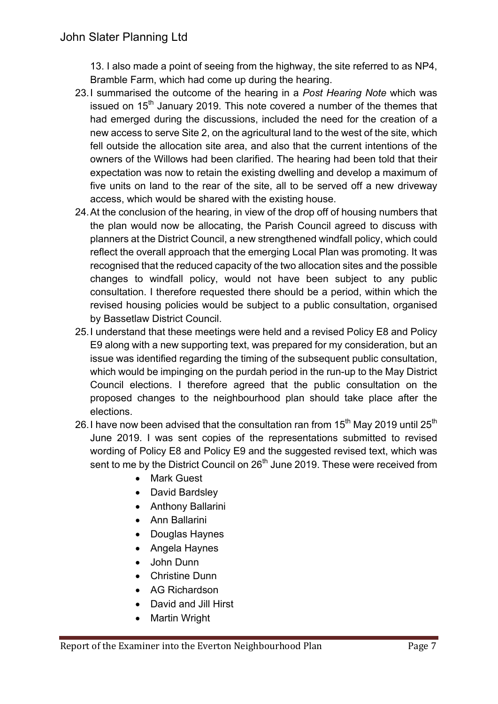13. I also made a point of seeing from the highway, the site referred to as NP4, Bramble Farm, which had come up during the hearing.

- 23.I summarised the outcome of the hearing in a *Post Hearing Note* which was issued on  $15<sup>th</sup>$  January 2019. This note covered a number of the themes that had emerged during the discussions, included the need for the creation of a new access to serve Site 2, on the agricultural land to the west of the site, which fell outside the allocation site area, and also that the current intentions of the owners of the Willows had been clarified. The hearing had been told that their expectation was now to retain the existing dwelling and develop a maximum of five units on land to the rear of the site, all to be served off a new driveway access, which would be shared with the existing house.
- 24.At the conclusion of the hearing, in view of the drop off of housing numbers that the plan would now be allocating, the Parish Council agreed to discuss with planners at the District Council, a new strengthened windfall policy, which could reflect the overall approach that the emerging Local Plan was promoting. It was recognised that the reduced capacity of the two allocation sites and the possible changes to windfall policy, would not have been subject to any public consultation. I therefore requested there should be a period, within which the revised housing policies would be subject to a public consultation, organised by Bassetlaw District Council.
- 25.I understand that these meetings were held and a revised Policy E8 and Policy E9 along with a new supporting text, was prepared for my consideration, but an issue was identified regarding the timing of the subsequent public consultation, which would be impinging on the purdah period in the run-up to the May District Council elections. I therefore agreed that the public consultation on the proposed changes to the neighbourhood plan should take place after the elections.
- 26. I have now been advised that the consultation ran from  $15<sup>th</sup>$  May 2019 until 25<sup>th</sup> June 2019. I was sent copies of the representations submitted to revised wording of Policy E8 and Policy E9 and the suggested revised text, which was sent to me by the District Council on 26<sup>th</sup> June 2019. These were received from
	- Mark Guest
	- David Bardsley
	- Anthony Ballarini
	- Ann Ballarini
	- Douglas Haynes
	- Angela Haynes
	- John Dunn
	- Christine Dunn
	- AG Richardson
	- David and Jill Hirst
	- Martin Wright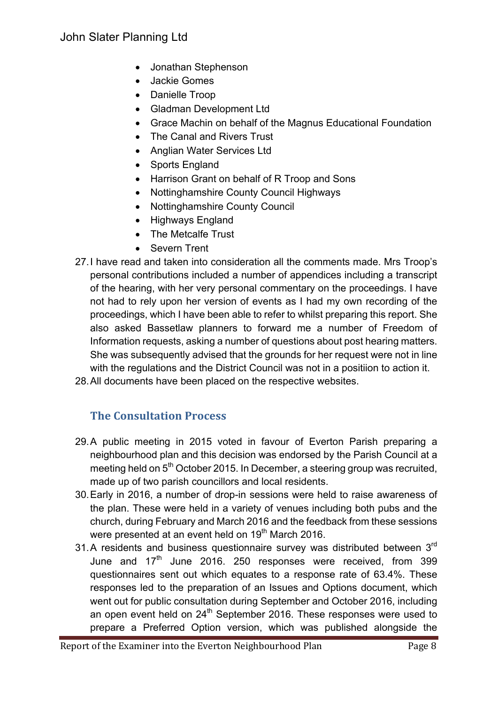- Jonathan Stephenson
- Jackie Gomes
- Danielle Troop
- Gladman Development Ltd
- Grace Machin on behalf of the Magnus Educational Foundation
- The Canal and Rivers Trust
- Anglian Water Services Ltd
- Sports England
- Harrison Grant on behalf of R Troop and Sons
- Nottinghamshire County Council Highways
- Nottinghamshire County Council
- Highways England
- The Metcalfe Trust
- Severn Trent
- 27.I have read and taken into consideration all the comments made. Mrs Troop's personal contributions included a number of appendices including a transcript of the hearing, with her very personal commentary on the proceedings. I have not had to rely upon her version of events as I had my own recording of the proceedings, which I have been able to refer to whilst preparing this report. She also asked Bassetlaw planners to forward me a number of Freedom of Information requests, asking a number of questions about post hearing matters. She was subsequently advised that the grounds for her request were not in line with the regulations and the District Council was not in a positiion to action it.
- 28.All documents have been placed on the respective websites.

# **The Consultation Process**

- 29.A public meeting in 2015 voted in favour of Everton Parish preparing a neighbourhood plan and this decision was endorsed by the Parish Council at a meeting held on 5<sup>th</sup> October 2015. In December, a steering group was recruited, made up of two parish councillors and local residents.
- 30.Early in 2016, a number of drop-in sessions were held to raise awareness of the plan. These were held in a variety of venues including both pubs and the church, during February and March 2016 and the feedback from these sessions were presented at an event held on 19<sup>th</sup> March 2016.
- 31. A residents and business questionnaire survey was distributed between  $3<sup>rd</sup>$ June and  $17<sup>th</sup>$  June 2016. 250 responses were received, from 399 questionnaires sent out which equates to a response rate of 63.4%. These responses led to the preparation of an Issues and Options document, which went out for public consultation during September and October 2016, including an open event held on  $24<sup>th</sup>$  September 2016. These responses were used to prepare a Preferred Option version, which was published alongside the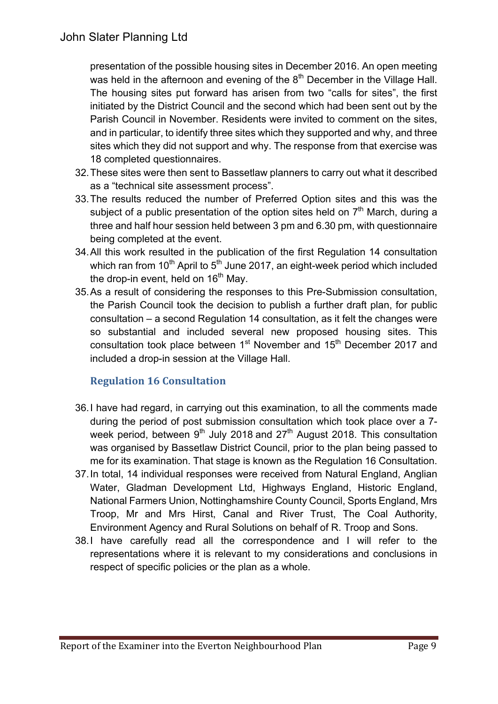presentation of the possible housing sites in December 2016. An open meeting was held in the afternoon and evening of the 8<sup>th</sup> December in the Village Hall. The housing sites put forward has arisen from two "calls for sites", the first initiated by the District Council and the second which had been sent out by the Parish Council in November. Residents were invited to comment on the sites, and in particular, to identify three sites which they supported and why, and three sites which they did not support and why. The response from that exercise was 18 completed questionnaires.

- 32.These sites were then sent to Bassetlaw planners to carry out what it described as a "technical site assessment process".
- 33.The results reduced the number of Preferred Option sites and this was the subject of a public presentation of the option sites held on  $7<sup>th</sup>$  March, during a three and half hour session held between 3 pm and 6.30 pm, with questionnaire being completed at the event.
- 34.All this work resulted in the publication of the first Regulation 14 consultation which ran from  $10^{th}$  April to  $5^{th}$  June 2017, an eight-week period which included the drop-in event, held on  $16<sup>th</sup>$  May.
- 35.As a result of considering the responses to this Pre-Submission consultation, the Parish Council took the decision to publish a further draft plan, for public consultation – a second Regulation 14 consultation, as it felt the changes were so substantial and included several new proposed housing sites. This consultation took place between  $1<sup>st</sup>$  November and  $15<sup>th</sup>$  December 2017 and included a drop-in session at the Village Hall.

## **Regulation 16 Consultation**

- 36.I have had regard, in carrying out this examination, to all the comments made during the period of post submission consultation which took place over a 7 week period, between  $9<sup>th</sup>$  July 2018 and 27<sup>th</sup> August 2018. This consultation was organised by Bassetlaw District Council, prior to the plan being passed to me for its examination. That stage is known as the Regulation 16 Consultation.
- 37.In total, 14 individual responses were received from Natural England, Anglian Water, Gladman Development Ltd, Highways England, Historic England, National Farmers Union, Nottinghamshire County Council, Sports England, Mrs Troop, Mr and Mrs Hirst, Canal and River Trust, The Coal Authority, Environment Agency and Rural Solutions on behalf of R. Troop and Sons.
- 38.I have carefully read all the correspondence and I will refer to the representations where it is relevant to my considerations and conclusions in respect of specific policies or the plan as a whole.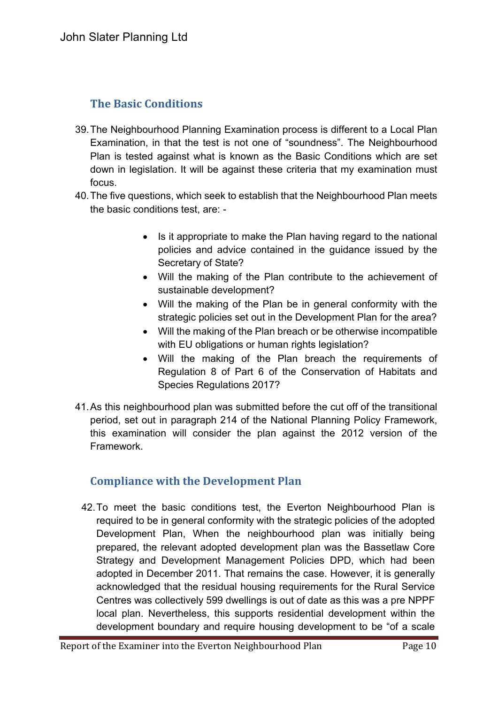# **The Basic Conditions**

- 39.The Neighbourhood Planning Examination process is different to a Local Plan Examination, in that the test is not one of "soundness". The Neighbourhood Plan is tested against what is known as the Basic Conditions which are set down in legislation. It will be against these criteria that my examination must focus.
- 40.The five questions, which seek to establish that the Neighbourhood Plan meets the basic conditions test, are: -
	- Is it appropriate to make the Plan having regard to the national policies and advice contained in the guidance issued by the Secretary of State?
	- Will the making of the Plan contribute to the achievement of sustainable development?
	- Will the making of the Plan be in general conformity with the strategic policies set out in the Development Plan for the area?
	- Will the making of the Plan breach or be otherwise incompatible with EU obligations or human rights legislation?
	- Will the making of the Plan breach the requirements of Regulation 8 of Part 6 of the Conservation of Habitats and Species Regulations 2017?
- 41.As this neighbourhood plan was submitted before the cut off of the transitional period, set out in paragraph 214 of the National Planning Policy Framework, this examination will consider the plan against the 2012 version of the Framework.

# **Compliance with the Development Plan**

42.To meet the basic conditions test, the Everton Neighbourhood Plan is required to be in general conformity with the strategic policies of the adopted Development Plan, When the neighbourhood plan was initially being prepared, the relevant adopted development plan was the Bassetlaw Core Strategy and Development Management Policies DPD, which had been adopted in December 2011. That remains the case. However, it is generally acknowledged that the residual housing requirements for the Rural Service Centres was collectively 599 dwellings is out of date as this was a pre NPPF local plan. Nevertheless, this supports residential development within the development boundary and require housing development to be "of a scale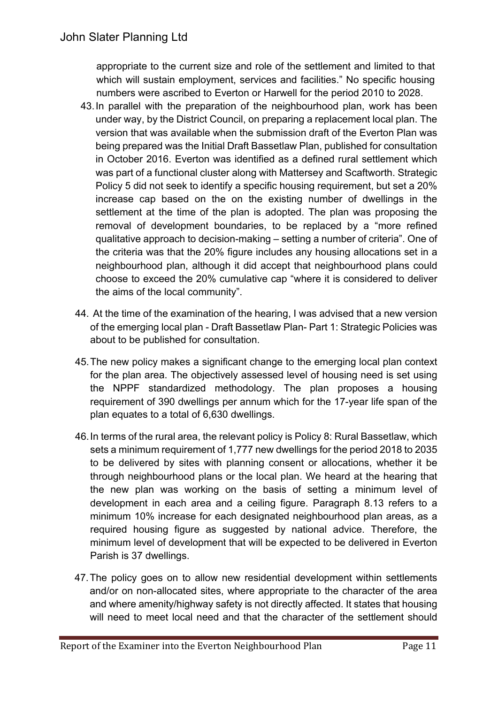appropriate to the current size and role of the settlement and limited to that which will sustain employment, services and facilities." No specific housing numbers were ascribed to Everton or Harwell for the period 2010 to 2028.

- 43.In parallel with the preparation of the neighbourhood plan, work has been under way, by the District Council, on preparing a replacement local plan. The version that was available when the submission draft of the Everton Plan was being prepared was the Initial Draft Bassetlaw Plan, published for consultation in October 2016. Everton was identified as a defined rural settlement which was part of a functional cluster along with Mattersey and Scaftworth. Strategic Policy 5 did not seek to identify a specific housing requirement, but set a 20% increase cap based on the on the existing number of dwellings in the settlement at the time of the plan is adopted. The plan was proposing the removal of development boundaries, to be replaced by a "more refined qualitative approach to decision-making – setting a number of criteria". One of the criteria was that the 20% figure includes any housing allocations set in a neighbourhood plan, although it did accept that neighbourhood plans could choose to exceed the 20% cumulative cap "where it is considered to deliver the aims of the local community".
- 44. At the time of the examination of the hearing, I was advised that a new version of the emerging local plan - Draft Bassetlaw Plan- Part 1: Strategic Policies was about to be published for consultation.
- 45.The new policy makes a significant change to the emerging local plan context for the plan area. The objectively assessed level of housing need is set using the NPPF standardized methodology. The plan proposes a housing requirement of 390 dwellings per annum which for the 17-year life span of the plan equates to a total of 6,630 dwellings.
- 46.In terms of the rural area, the relevant policy is Policy 8: Rural Bassetlaw, which sets a minimum requirement of 1,777 new dwellings for the period 2018 to 2035 to be delivered by sites with planning consent or allocations, whether it be through neighbourhood plans or the local plan. We heard at the hearing that the new plan was working on the basis of setting a minimum level of development in each area and a ceiling figure. Paragraph 8.13 refers to a minimum 10% increase for each designated neighbourhood plan areas, as a required housing figure as suggested by national advice. Therefore, the minimum level of development that will be expected to be delivered in Everton Parish is 37 dwellings.
- 47.The policy goes on to allow new residential development within settlements and/or on non-allocated sites, where appropriate to the character of the area and where amenity/highway safety is not directly affected. It states that housing will need to meet local need and that the character of the settlement should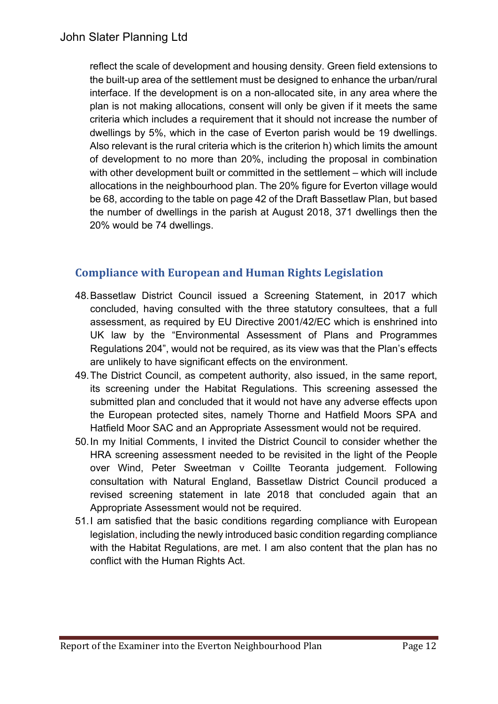reflect the scale of development and housing density. Green field extensions to the built-up area of the settlement must be designed to enhance the urban/rural interface. If the development is on a non-allocated site, in any area where the plan is not making allocations, consent will only be given if it meets the same criteria which includes a requirement that it should not increase the number of dwellings by 5%, which in the case of Everton parish would be 19 dwellings. Also relevant is the rural criteria which is the criterion h) which limits the amount of development to no more than 20%, including the proposal in combination with other development built or committed in the settlement – which will include allocations in the neighbourhood plan. The 20% figure for Everton village would be 68, according to the table on page 42 of the Draft Bassetlaw Plan, but based the number of dwellings in the parish at August 2018, 371 dwellings then the 20% would be 74 dwellings.

# **Compliance with European and Human Rights Legislation**

- 48.Bassetlaw District Council issued a Screening Statement, in 2017 which concluded, having consulted with the three statutory consultees, that a full assessment, as required by EU Directive 2001/42/EC which is enshrined into UK law by the "Environmental Assessment of Plans and Programmes Regulations 204", would not be required, as its view was that the Plan's effects are unlikely to have significant effects on the environment.
- 49.The District Council, as competent authority, also issued, in the same report, its screening under the Habitat Regulations. This screening assessed the submitted plan and concluded that it would not have any adverse effects upon the European protected sites, namely Thorne and Hatfield Moors SPA and Hatfield Moor SAC and an Appropriate Assessment would not be required.
- 50.In my Initial Comments, I invited the District Council to consider whether the HRA screening assessment needed to be revisited in the light of the People over Wind, Peter Sweetman v Coillte Teoranta judgement. Following consultation with Natural England, Bassetlaw District Council produced a revised screening statement in late 2018 that concluded again that an Appropriate Assessment would not be required.
- 51.I am satisfied that the basic conditions regarding compliance with European legislation, including the newly introduced basic condition regarding compliance with the Habitat Regulations, are met. I am also content that the plan has no conflict with the Human Rights Act.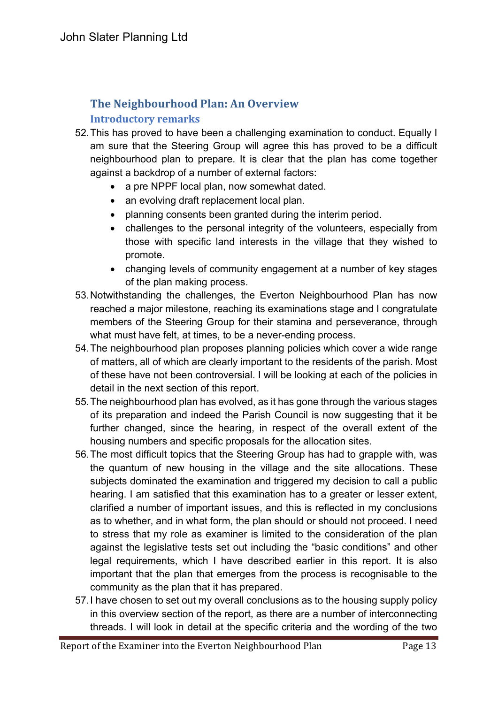# **The Neighbourhood Plan: An Overview Introductory remarks**

- 52.This has proved to have been a challenging examination to conduct. Equally I am sure that the Steering Group will agree this has proved to be a difficult neighbourhood plan to prepare. It is clear that the plan has come together against a backdrop of a number of external factors:
	- a pre NPPF local plan, now somewhat dated.
	- an evolving draft replacement local plan.
	- planning consents been granted during the interim period.
	- challenges to the personal integrity of the volunteers, especially from those with specific land interests in the village that they wished to promote.
	- changing levels of community engagement at a number of key stages of the plan making process.
- 53.Notwithstanding the challenges, the Everton Neighbourhood Plan has now reached a major milestone, reaching its examinations stage and I congratulate members of the Steering Group for their stamina and perseverance, through what must have felt, at times, to be a never-ending process.
- 54.The neighbourhood plan proposes planning policies which cover a wide range of matters, all of which are clearly important to the residents of the parish. Most of these have not been controversial. I will be looking at each of the policies in detail in the next section of this report.
- 55.The neighbourhood plan has evolved, as it has gone through the various stages of its preparation and indeed the Parish Council is now suggesting that it be further changed, since the hearing, in respect of the overall extent of the housing numbers and specific proposals for the allocation sites.
- 56.The most difficult topics that the Steering Group has had to grapple with, was the quantum of new housing in the village and the site allocations. These subjects dominated the examination and triggered my decision to call a public hearing. I am satisfied that this examination has to a greater or lesser extent, clarified a number of important issues, and this is reflected in my conclusions as to whether, and in what form, the plan should or should not proceed. I need to stress that my role as examiner is limited to the consideration of the plan against the legislative tests set out including the "basic conditions" and other legal requirements, which I have described earlier in this report. It is also important that the plan that emerges from the process is recognisable to the community as the plan that it has prepared.
- 57.I have chosen to set out my overall conclusions as to the housing supply policy in this overview section of the report, as there are a number of interconnecting threads. I will look in detail at the specific criteria and the wording of the two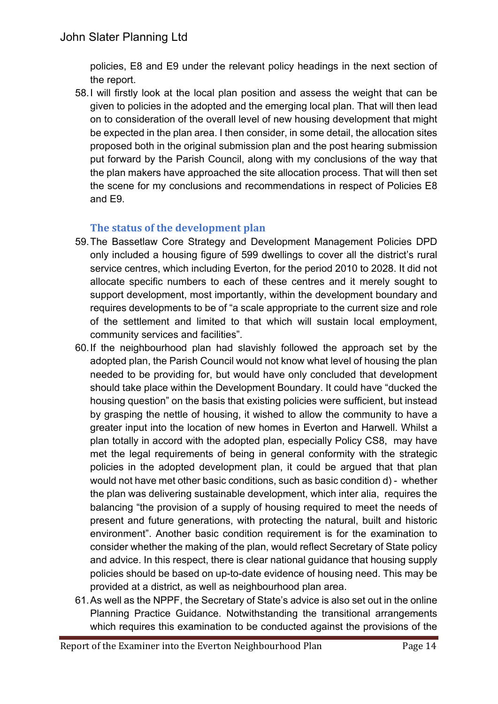policies, E8 and E9 under the relevant policy headings in the next section of the report.

58.I will firstly look at the local plan position and assess the weight that can be given to policies in the adopted and the emerging local plan. That will then lead on to consideration of the overall level of new housing development that might be expected in the plan area. I then consider, in some detail, the allocation sites proposed both in the original submission plan and the post hearing submission put forward by the Parish Council, along with my conclusions of the way that the plan makers have approached the site allocation process. That will then set the scene for my conclusions and recommendations in respect of Policies E8 and E9.

# **The status of the development plan**

- 59.The Bassetlaw Core Strategy and Development Management Policies DPD only included a housing figure of 599 dwellings to cover all the district's rural service centres, which including Everton, for the period 2010 to 2028. It did not allocate specific numbers to each of these centres and it merely sought to support development, most importantly, within the development boundary and requires developments to be of "a scale appropriate to the current size and role of the settlement and limited to that which will sustain local employment, community services and facilities".
- 60.If the neighbourhood plan had slavishly followed the approach set by the adopted plan, the Parish Council would not know what level of housing the plan needed to be providing for, but would have only concluded that development should take place within the Development Boundary. It could have "ducked the housing question" on the basis that existing policies were sufficient, but instead by grasping the nettle of housing, it wished to allow the community to have a greater input into the location of new homes in Everton and Harwell. Whilst a plan totally in accord with the adopted plan, especially Policy CS8, may have met the legal requirements of being in general conformity with the strategic policies in the adopted development plan, it could be argued that that plan would not have met other basic conditions, such as basic condition d) - whether the plan was delivering sustainable development, which inter alia, requires the balancing "the provision of a supply of housing required to meet the needs of present and future generations, with protecting the natural, built and historic environment". Another basic condition requirement is for the examination to consider whether the making of the plan, would reflect Secretary of State policy and advice. In this respect, there is clear national guidance that housing supply policies should be based on up-to-date evidence of housing need. This may be provided at a district, as well as neighbourhood plan area.
- 61.As well as the NPPF, the Secretary of State's advice is also set out in the online Planning Practice Guidance. Notwithstanding the transitional arrangements which requires this examination to be conducted against the provisions of the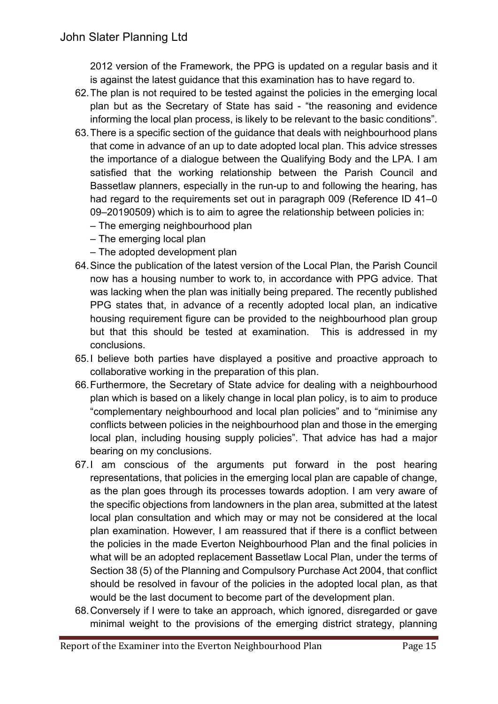2012 version of the Framework, the PPG is updated on a regular basis and it is against the latest guidance that this examination has to have regard to.

- 62.The plan is not required to be tested against the policies in the emerging local plan but as the Secretary of State has said - "the reasoning and evidence informing the local plan process, is likely to be relevant to the basic conditions".
- 63.There is a specific section of the guidance that deals with neighbourhood plans that come in advance of an up to date adopted local plan. This advice stresses the importance of a dialogue between the Qualifying Body and the LPA. I am satisfied that the working relationship between the Parish Council and Bassetlaw planners, especially in the run-up to and following the hearing, has had regard to the requirements set out in paragraph 009 (Reference ID 41–0) 09–20190509) which is to aim to agree the relationship between policies in:
	- The emerging neighbourhood plan
	- The emerging local plan
	- The adopted development plan
- 64.Since the publication of the latest version of the Local Plan, the Parish Council now has a housing number to work to, in accordance with PPG advice. That was lacking when the plan was initially being prepared. The recently published PPG states that, in advance of a recently adopted local plan, an indicative housing requirement figure can be provided to the neighbourhood plan group but that this should be tested at examination. This is addressed in my conclusions.
- 65.I believe both parties have displayed a positive and proactive approach to collaborative working in the preparation of this plan.
- 66.Furthermore, the Secretary of State advice for dealing with a neighbourhood plan which is based on a likely change in local plan policy, is to aim to produce "complementary neighbourhood and local plan policies" and to "minimise any conflicts between policies in the neighbourhood plan and those in the emerging local plan, including housing supply policies". That advice has had a major bearing on my conclusions.
- 67.I am conscious of the arguments put forward in the post hearing representations, that policies in the emerging local plan are capable of change, as the plan goes through its processes towards adoption. I am very aware of the specific objections from landowners in the plan area, submitted at the latest local plan consultation and which may or may not be considered at the local plan examination. However, I am reassured that if there is a conflict between the policies in the made Everton Neighbourhood Plan and the final policies in what will be an adopted replacement Bassetlaw Local Plan, under the terms of Section 38 (5) of the Planning and Compulsory Purchase Act 2004, that conflict should be resolved in favour of the policies in the adopted local plan, as that would be the last document to become part of the development plan.
- 68.Conversely if I were to take an approach, which ignored, disregarded or gave minimal weight to the provisions of the emerging district strategy, planning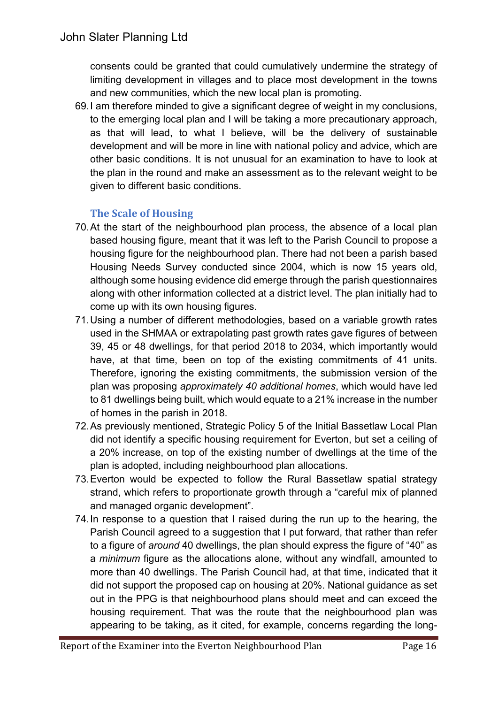consents could be granted that could cumulatively undermine the strategy of limiting development in villages and to place most development in the towns and new communities, which the new local plan is promoting.

69.I am therefore minded to give a significant degree of weight in my conclusions, to the emerging local plan and I will be taking a more precautionary approach, as that will lead, to what I believe, will be the delivery of sustainable development and will be more in line with national policy and advice, which are other basic conditions. It is not unusual for an examination to have to look at the plan in the round and make an assessment as to the relevant weight to be given to different basic conditions.

# **The Scale of Housing**

- 70.At the start of the neighbourhood plan process, the absence of a local plan based housing figure, meant that it was left to the Parish Council to propose a housing figure for the neighbourhood plan. There had not been a parish based Housing Needs Survey conducted since 2004, which is now 15 years old, although some housing evidence did emerge through the parish questionnaires along with other information collected at a district level. The plan initially had to come up with its own housing figures.
- 71.Using a number of different methodologies, based on a variable growth rates used in the SHMAA or extrapolating past growth rates gave figures of between 39, 45 or 48 dwellings, for that period 2018 to 2034, which importantly would have, at that time, been on top of the existing commitments of 41 units. Therefore, ignoring the existing commitments, the submission version of the plan was proposing *approximately 40 additional homes*, which would have led to 81 dwellings being built, which would equate to a 21% increase in the number of homes in the parish in 2018.
- 72.As previously mentioned, Strategic Policy 5 of the Initial Bassetlaw Local Plan did not identify a specific housing requirement for Everton, but set a ceiling of a 20% increase, on top of the existing number of dwellings at the time of the plan is adopted, including neighbourhood plan allocations.
- 73.Everton would be expected to follow the Rural Bassetlaw spatial strategy strand, which refers to proportionate growth through a "careful mix of planned and managed organic development".
- 74.In response to a question that I raised during the run up to the hearing, the Parish Council agreed to a suggestion that I put forward, that rather than refer to a figure of *around* 40 dwellings, the plan should express the figure of "40" as a *minimum* figure as the allocations alone, without any windfall, amounted to more than 40 dwellings. The Parish Council had, at that time, indicated that it did not support the proposed cap on housing at 20%. National guidance as set out in the PPG is that neighbourhood plans should meet and can exceed the housing requirement. That was the route that the neighbourhood plan was appearing to be taking, as it cited, for example, concerns regarding the long-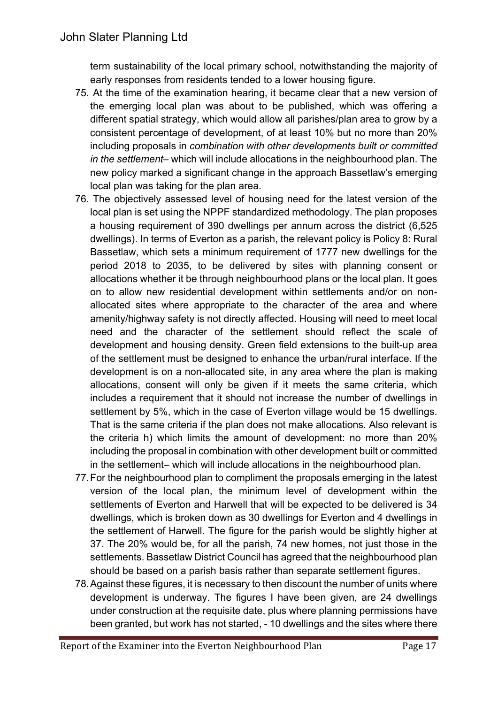term sustainability of the local primary school, notwithstanding the majority of early responses from residents tended to a lower housing figure.

- 75. At the time of the examination hearing, it became clear that a new version of the emerging local plan was about to be published, which was offering a different spatial strategy, which would allow all parishes/plan area to grow by a consistent percentage of development, of at least 10% but no more than 20% including proposals in *combination with other developments built or committed in the settlement*– which will include allocations in the neighbourhood plan. The new policy marked a significant change in the approach Bassetlaw's emerging local plan was taking for the plan area.
- 76. The objectively assessed level of housing need for the latest version of the local plan is set using the NPPF standardized methodology. The plan proposes a housing requirement of 390 dwellings per annum across the district (6,525 dwellings). In terms of Everton as a parish, the relevant policy is Policy 8: Rural Bassetlaw, which sets a minimum requirement of 1777 new dwellings for the period 2018 to 2035, to be delivered by sites with planning consent or allocations whether it be through neighbourhood plans or the local plan. It goes on to allow new residential development within settlements and/or on nonallocated sites where appropriate to the character of the area and where amenity/highway safety is not directly affected. Housing will need to meet local need and the character of the settlement should reflect the scale of development and housing density. Green field extensions to the built-up area of the settlement must be designed to enhance the urban/rural interface. If the development is on a non-allocated site, in any area where the plan is making allocations, consent will only be given if it meets the same criteria, which includes a requirement that it should not increase the number of dwellings in settlement by 5%, which in the case of Everton village would be 15 dwellings. That is the same criteria if the plan does not make allocations. Also relevant is the criteria h) which limits the amount of development: no more than 20% including the proposal in combination with other development built or committed in the settlement– which will include allocations in the neighbourhood plan.
- 77.For the neighbourhood plan to compliment the proposals emerging in the latest version of the local plan, the minimum level of development within the settlements of Everton and Harwell that will be expected to be delivered is 34 dwellings, which is broken down as 30 dwellings for Everton and 4 dwellings in the settlement of Harwell. The figure for the parish would be slightly higher at 37. The 20% would be, for all the parish, 74 new homes, not just those in the settlements. Bassetlaw District Council has agreed that the neighbourhood plan should be based on a parish basis rather than separate settlement figures.
- 78.Against these figures, it is necessary to then discount the number of units where development is underway. The figures I have been given, are 24 dwellings under construction at the requisite date, plus where planning permissions have been granted, but work has not started, - 10 dwellings and the sites where there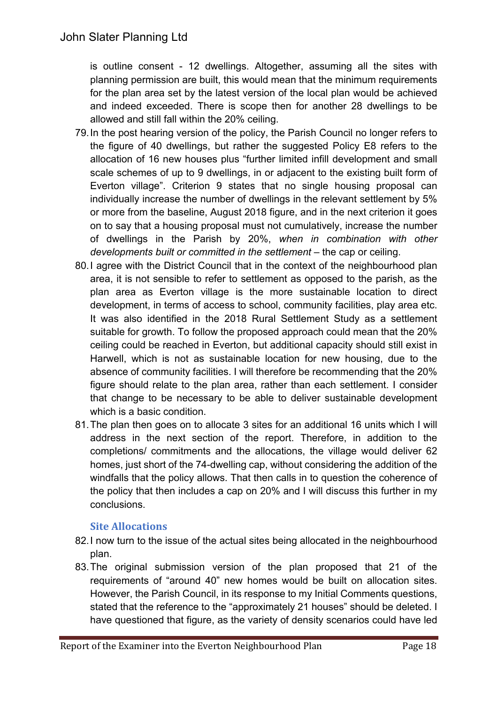is outline consent - 12 dwellings. Altogether, assuming all the sites with planning permission are built, this would mean that the minimum requirements for the plan area set by the latest version of the local plan would be achieved and indeed exceeded. There is scope then for another 28 dwellings to be allowed and still fall within the 20% ceiling.

- 79.In the post hearing version of the policy, the Parish Council no longer refers to the figure of 40 dwellings, but rather the suggested Policy E8 refers to the allocation of 16 new houses plus "further limited infill development and small scale schemes of up to 9 dwellings, in or adjacent to the existing built form of Everton village". Criterion 9 states that no single housing proposal can individually increase the number of dwellings in the relevant settlement by 5% or more from the baseline, August 2018 figure, and in the next criterion it goes on to say that a housing proposal must not cumulatively, increase the number of dwellings in the Parish by 20%, *when in combination with other developments built or committed in the settlement* – the cap or ceiling.
- 80.I agree with the District Council that in the context of the neighbourhood plan area, it is not sensible to refer to settlement as opposed to the parish, as the plan area as Everton village is the more sustainable location to direct development, in terms of access to school, community facilities, play area etc. It was also identified in the 2018 Rural Settlement Study as a settlement suitable for growth. To follow the proposed approach could mean that the 20% ceiling could be reached in Everton, but additional capacity should still exist in Harwell, which is not as sustainable location for new housing, due to the absence of community facilities. I will therefore be recommending that the 20% figure should relate to the plan area, rather than each settlement. I consider that change to be necessary to be able to deliver sustainable development which is a basic condition.
- 81.The plan then goes on to allocate 3 sites for an additional 16 units which I will address in the next section of the report. Therefore, in addition to the completions/ commitments and the allocations, the village would deliver 62 homes, just short of the 74-dwelling cap, without considering the addition of the windfalls that the policy allows. That then calls in to question the coherence of the policy that then includes a cap on 20% and I will discuss this further in my conclusions.

## **Site Allocations**

- 82.I now turn to the issue of the actual sites being allocated in the neighbourhood plan.
- 83.The original submission version of the plan proposed that 21 of the requirements of "around 40" new homes would be built on allocation sites. However, the Parish Council, in its response to my Initial Comments questions, stated that the reference to the "approximately 21 houses" should be deleted. I have questioned that figure, as the variety of density scenarios could have led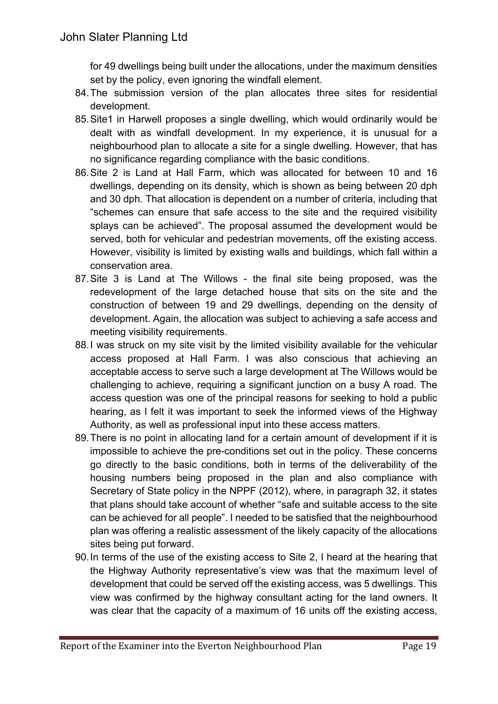for 49 dwellings being built under the allocations, under the maximum densities set by the policy, even ignoring the windfall element.

- 84.The submission version of the plan allocates three sites for residential development.
- 85.Site1 in Harwell proposes a single dwelling, which would ordinarily would be dealt with as windfall development. In my experience, it is unusual for a neighbourhood plan to allocate a site for a single dwelling. However, that has no significance regarding compliance with the basic conditions.
- 86.Site 2 is Land at Hall Farm, which was allocated for between 10 and 16 dwellings, depending on its density, which is shown as being between 20 dph and 30 dph. That allocation is dependent on a number of criteria, including that "schemes can ensure that safe access to the site and the required visibility splays can be achieved". The proposal assumed the development would be served, both for vehicular and pedestrian movements, off the existing access. However, visibility is limited by existing walls and buildings, which fall within a conservation area.
- 87.Site 3 is Land at The Willows the final site being proposed, was the redevelopment of the large detached house that sits on the site and the construction of between 19 and 29 dwellings, depending on the density of development. Again, the allocation was subject to achieving a safe access and meeting visibility requirements.
- 88.I was struck on my site visit by the limited visibility available for the vehicular access proposed at Hall Farm. I was also conscious that achieving an acceptable access to serve such a large development at The Willows would be challenging to achieve, requiring a significant junction on a busy A road. The access question was one of the principal reasons for seeking to hold a public hearing, as I felt it was important to seek the informed views of the Highway Authority, as well as professional input into these access matters.
- 89.There is no point in allocating land for a certain amount of development if it is impossible to achieve the pre-conditions set out in the policy. These concerns go directly to the basic conditions, both in terms of the deliverability of the housing numbers being proposed in the plan and also compliance with Secretary of State policy in the NPPF (2012), where, in paragraph 32, it states that plans should take account of whether "safe and suitable access to the site can be achieved for all people". I needed to be satisfied that the neighbourhood plan was offering a realistic assessment of the likely capacity of the allocations sites being put forward.
- 90.In terms of the use of the existing access to Site 2, I heard at the hearing that the Highway Authority representative's view was that the maximum level of development that could be served off the existing access, was 5 dwellings. This view was confirmed by the highway consultant acting for the land owners. It was clear that the capacity of a maximum of 16 units off the existing access,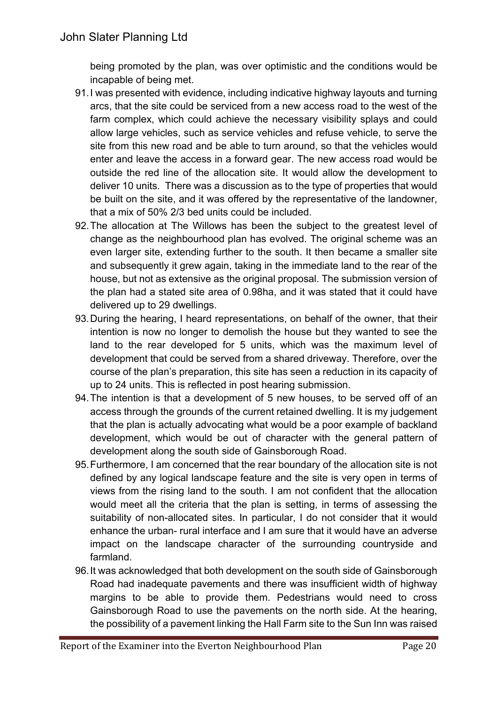being promoted by the plan, was over optimistic and the conditions would be incapable of being met.

- 91.I was presented with evidence, including indicative highway layouts and turning arcs, that the site could be serviced from a new access road to the west of the farm complex, which could achieve the necessary visibility splays and could allow large vehicles, such as service vehicles and refuse vehicle, to serve the site from this new road and be able to turn around, so that the vehicles would enter and leave the access in a forward gear. The new access road would be outside the red line of the allocation site. It would allow the development to deliver 10 units. There was a discussion as to the type of properties that would be built on the site, and it was offered by the representative of the landowner, that a mix of 50% 2/3 bed units could be included.
- 92.The allocation at The Willows has been the subject to the greatest level of change as the neighbourhood plan has evolved. The original scheme was an even larger site, extending further to the south. It then became a smaller site and subsequently it grew again, taking in the immediate land to the rear of the house, but not as extensive as the original proposal. The submission version of the plan had a stated site area of 0.98ha, and it was stated that it could have delivered up to 29 dwellings.
- 93.During the hearing, I heard representations, on behalf of the owner, that their intention is now no longer to demolish the house but they wanted to see the land to the rear developed for 5 units, which was the maximum level of development that could be served from a shared driveway. Therefore, over the course of the plan's preparation, this site has seen a reduction in its capacity of up to 24 units. This is reflected in post hearing submission.
- 94.The intention is that a development of 5 new houses, to be served off of an access through the grounds of the current retained dwelling. It is my judgement that the plan is actually advocating what would be a poor example of backland development, which would be out of character with the general pattern of development along the south side of Gainsborough Road.
- 95.Furthermore, I am concerned that the rear boundary of the allocation site is not defined by any logical landscape feature and the site is very open in terms of views from the rising land to the south. I am not confident that the allocation would meet all the criteria that the plan is setting, in terms of assessing the suitability of non-allocated sites. In particular, I do not consider that it would enhance the urban- rural interface and I am sure that it would have an adverse impact on the landscape character of the surrounding countryside and farmland.
- 96.It was acknowledged that both development on the south side of Gainsborough Road had inadequate pavements and there was insufficient width of highway margins to be able to provide them. Pedestrians would need to cross Gainsborough Road to use the pavements on the north side. At the hearing, the possibility of a pavement linking the Hall Farm site to the Sun Inn was raised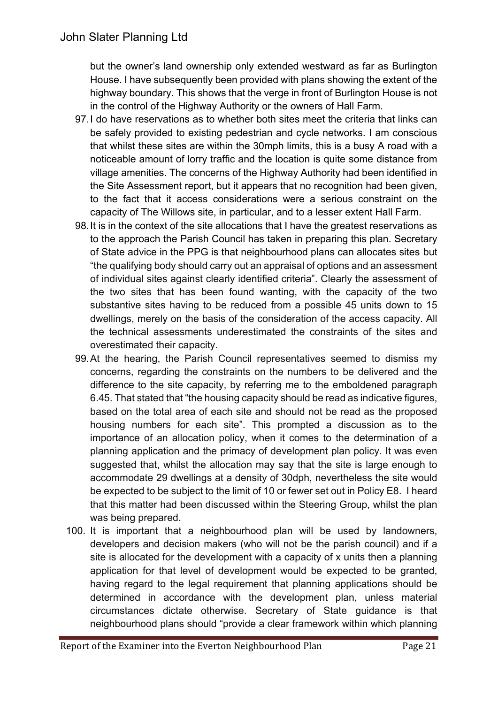but the owner's land ownership only extended westward as far as Burlington House. I have subsequently been provided with plans showing the extent of the highway boundary. This shows that the verge in front of Burlington House is not in the control of the Highway Authority or the owners of Hall Farm.

- 97.I do have reservations as to whether both sites meet the criteria that links can be safely provided to existing pedestrian and cycle networks. I am conscious that whilst these sites are within the 30mph limits, this is a busy A road with a noticeable amount of lorry traffic and the location is quite some distance from village amenities. The concerns of the Highway Authority had been identified in the Site Assessment report, but it appears that no recognition had been given, to the fact that it access considerations were a serious constraint on the capacity of The Willows site, in particular, and to a lesser extent Hall Farm.
- 98.It is in the context of the site allocations that I have the greatest reservations as to the approach the Parish Council has taken in preparing this plan. Secretary of State advice in the PPG is that neighbourhood plans can allocates sites but "the qualifying body should carry out an appraisal of options and an assessment of individual sites against clearly identified criteria". Clearly the assessment of the two sites that has been found wanting, with the capacity of the two substantive sites having to be reduced from a possible 45 units down to 15 dwellings, merely on the basis of the consideration of the access capacity. All the technical assessments underestimated the constraints of the sites and overestimated their capacity.
- 99.At the hearing, the Parish Council representatives seemed to dismiss my concerns, regarding the constraints on the numbers to be delivered and the difference to the site capacity, by referring me to the emboldened paragraph 6.45. That stated that "the housing capacity should be read as indicative figures, based on the total area of each site and should not be read as the proposed housing numbers for each site". This prompted a discussion as to the importance of an allocation policy, when it comes to the determination of a planning application and the primacy of development plan policy. It was even suggested that, whilst the allocation may say that the site is large enough to accommodate 29 dwellings at a density of 30dph, nevertheless the site would be expected to be subject to the limit of 10 or fewer set out in Policy E8. I heard that this matter had been discussed within the Steering Group, whilst the plan was being prepared.
- 100. It is important that a neighbourhood plan will be used by landowners, developers and decision makers (who will not be the parish council) and if a site is allocated for the development with a capacity of x units then a planning application for that level of development would be expected to be granted, having regard to the legal requirement that planning applications should be determined in accordance with the development plan, unless material circumstances dictate otherwise. Secretary of State guidance is that neighbourhood plans should "provide a clear framework within which planning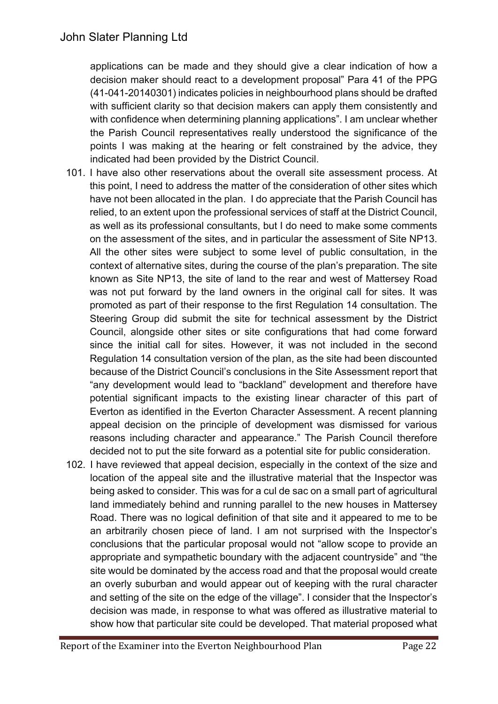applications can be made and they should give a clear indication of how a decision maker should react to a development proposal" Para 41 of the PPG (41-041-20140301) indicates policies in neighbourhood plans should be drafted with sufficient clarity so that decision makers can apply them consistently and with confidence when determining planning applications". I am unclear whether the Parish Council representatives really understood the significance of the points I was making at the hearing or felt constrained by the advice, they indicated had been provided by the District Council.

- 101. I have also other reservations about the overall site assessment process. At this point, I need to address the matter of the consideration of other sites which have not been allocated in the plan. I do appreciate that the Parish Council has relied, to an extent upon the professional services of staff at the District Council, as well as its professional consultants, but I do need to make some comments on the assessment of the sites, and in particular the assessment of Site NP13. All the other sites were subject to some level of public consultation, in the context of alternative sites, during the course of the plan's preparation. The site known as Site NP13, the site of land to the rear and west of Mattersey Road was not put forward by the land owners in the original call for sites. It was promoted as part of their response to the first Regulation 14 consultation. The Steering Group did submit the site for technical assessment by the District Council, alongside other sites or site configurations that had come forward since the initial call for sites. However, it was not included in the second Regulation 14 consultation version of the plan, as the site had been discounted because of the District Council's conclusions in the Site Assessment report that "any development would lead to "backland" development and therefore have potential significant impacts to the existing linear character of this part of Everton as identified in the Everton Character Assessment. A recent planning appeal decision on the principle of development was dismissed for various reasons including character and appearance." The Parish Council therefore decided not to put the site forward as a potential site for public consideration.
- 102. I have reviewed that appeal decision, especially in the context of the size and location of the appeal site and the illustrative material that the Inspector was being asked to consider. This was for a cul de sac on a small part of agricultural land immediately behind and running parallel to the new houses in Mattersey Road. There was no logical definition of that site and it appeared to me to be an arbitrarily chosen piece of land. I am not surprised with the Inspector's conclusions that the particular proposal would not "allow scope to provide an appropriate and sympathetic boundary with the adjacent countryside" and "the site would be dominated by the access road and that the proposal would create an overly suburban and would appear out of keeping with the rural character and setting of the site on the edge of the village". I consider that the Inspector's decision was made, in response to what was offered as illustrative material to show how that particular site could be developed. That material proposed what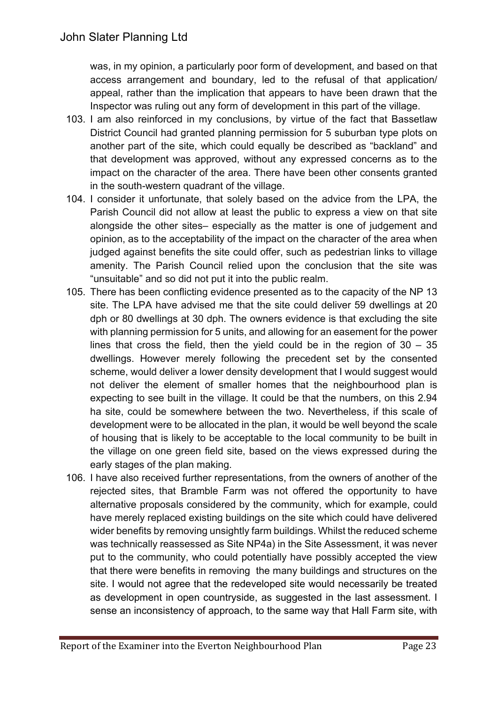was, in my opinion, a particularly poor form of development, and based on that access arrangement and boundary, led to the refusal of that application/ appeal, rather than the implication that appears to have been drawn that the Inspector was ruling out any form of development in this part of the village.

- 103. I am also reinforced in my conclusions, by virtue of the fact that Bassetlaw District Council had granted planning permission for 5 suburban type plots on another part of the site, which could equally be described as "backland" and that development was approved, without any expressed concerns as to the impact on the character of the area. There have been other consents granted in the south-western quadrant of the village.
- 104. I consider it unfortunate, that solely based on the advice from the LPA, the Parish Council did not allow at least the public to express a view on that site alongside the other sites– especially as the matter is one of judgement and opinion, as to the acceptability of the impact on the character of the area when judged against benefits the site could offer, such as pedestrian links to village amenity. The Parish Council relied upon the conclusion that the site was "unsuitable" and so did not put it into the public realm.
- 105. There has been conflicting evidence presented as to the capacity of the NP 13 site. The LPA have advised me that the site could deliver 59 dwellings at 20 dph or 80 dwellings at 30 dph. The owners evidence is that excluding the site with planning permission for 5 units, and allowing for an easement for the power lines that cross the field, then the yield could be in the region of  $30 - 35$ dwellings. However merely following the precedent set by the consented scheme, would deliver a lower density development that I would suggest would not deliver the element of smaller homes that the neighbourhood plan is expecting to see built in the village. It could be that the numbers, on this 2.94 ha site, could be somewhere between the two. Nevertheless, if this scale of development were to be allocated in the plan, it would be well beyond the scale of housing that is likely to be acceptable to the local community to be built in the village on one green field site, based on the views expressed during the early stages of the plan making.
- 106. I have also received further representations, from the owners of another of the rejected sites, that Bramble Farm was not offered the opportunity to have alternative proposals considered by the community, which for example, could have merely replaced existing buildings on the site which could have delivered wider benefits by removing unsightly farm buildings. Whilst the reduced scheme was technically reassessed as Site NP4a) in the Site Assessment, it was never put to the community, who could potentially have possibly accepted the view that there were benefits in removing the many buildings and structures on the site. I would not agree that the redeveloped site would necessarily be treated as development in open countryside, as suggested in the last assessment. I sense an inconsistency of approach, to the same way that Hall Farm site, with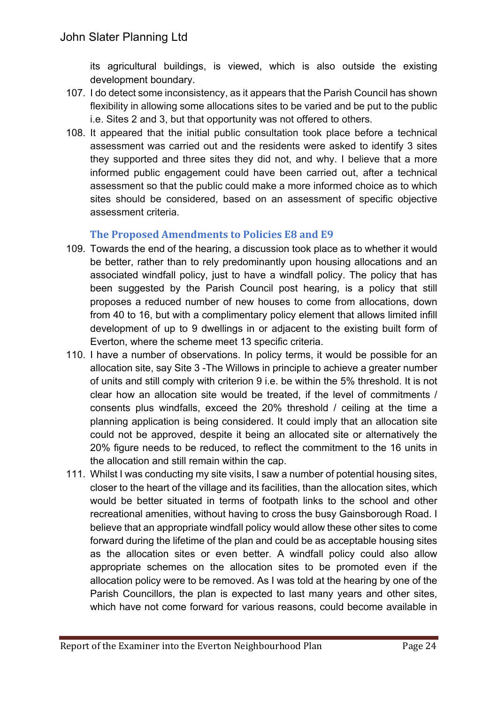its agricultural buildings, is viewed, which is also outside the existing development boundary.

- 107. I do detect some inconsistency, as it appears that the Parish Council has shown flexibility in allowing some allocations sites to be varied and be put to the public i.e. Sites 2 and 3, but that opportunity was not offered to others.
- 108. It appeared that the initial public consultation took place before a technical assessment was carried out and the residents were asked to identify 3 sites they supported and three sites they did not, and why. I believe that a more informed public engagement could have been carried out, after a technical assessment so that the public could make a more informed choice as to which sites should be considered, based on an assessment of specific objective assessment criteria.

## The Proposed Amendments to Policies E8 and E9

- 109. Towards the end of the hearing, a discussion took place as to whether it would be better, rather than to rely predominantly upon housing allocations and an associated windfall policy, just to have a windfall policy. The policy that has been suggested by the Parish Council post hearing, is a policy that still proposes a reduced number of new houses to come from allocations, down from 40 to 16, but with a complimentary policy element that allows limited infill development of up to 9 dwellings in or adjacent to the existing built form of Everton, where the scheme meet 13 specific criteria.
- 110. I have a number of observations. In policy terms, it would be possible for an allocation site, say Site 3 -The Willows in principle to achieve a greater number of units and still comply with criterion 9 i.e. be within the 5% threshold. It is not clear how an allocation site would be treated, if the level of commitments / consents plus windfalls, exceed the 20% threshold / ceiling at the time a planning application is being considered. It could imply that an allocation site could not be approved, despite it being an allocated site or alternatively the 20% figure needs to be reduced, to reflect the commitment to the 16 units in the allocation and still remain within the cap.
- 111. Whilst I was conducting my site visits, I saw a number of potential housing sites, closer to the heart of the village and its facilities, than the allocation sites, which would be better situated in terms of footpath links to the school and other recreational amenities, without having to cross the busy Gainsborough Road. I believe that an appropriate windfall policy would allow these other sites to come forward during the lifetime of the plan and could be as acceptable housing sites as the allocation sites or even better. A windfall policy could also allow appropriate schemes on the allocation sites to be promoted even if the allocation policy were to be removed. As I was told at the hearing by one of the Parish Councillors, the plan is expected to last many years and other sites, which have not come forward for various reasons, could become available in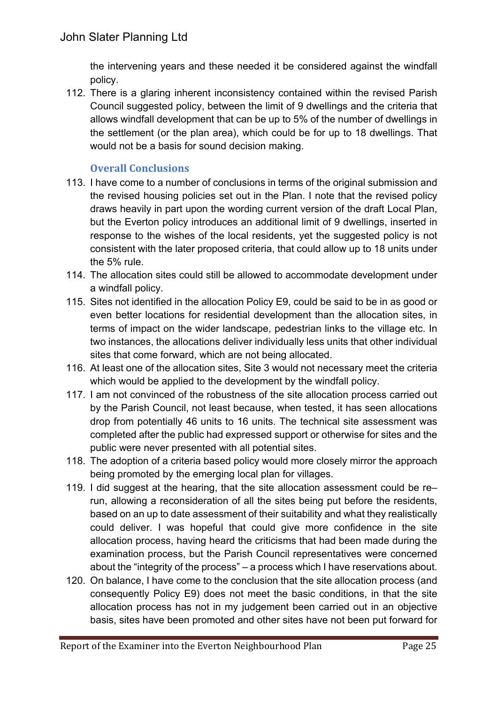the intervening years and these needed it be considered against the windfall policy.

112. There is a glaring inherent inconsistency contained within the revised Parish Council suggested policy, between the limit of 9 dwellings and the criteria that allows windfall development that can be up to 5% of the number of dwellings in the settlement (or the plan area), which could be for up to 18 dwellings. That would not be a basis for sound decision making.

## **Overall Conclusions**

- 113. I have come to a number of conclusions in terms of the original submission and the revised housing policies set out in the Plan. I note that the revised policy draws heavily in part upon the wording current version of the draft Local Plan, but the Everton policy introduces an additional limit of 9 dwellings, inserted in response to the wishes of the local residents, yet the suggested policy is not consistent with the later proposed criteria, that could allow up to 18 units under the 5% rule.
- 114. The allocation sites could still be allowed to accommodate development under a windfall policy.
- 115. Sites not identified in the allocation Policy E9, could be said to be in as good or even better locations for residential development than the allocation sites, in terms of impact on the wider landscape, pedestrian links to the village etc. In two instances, the allocations deliver individually less units that other individual sites that come forward, which are not being allocated.
- 116. At least one of the allocation sites, Site 3 would not necessary meet the criteria which would be applied to the development by the windfall policy.
- 117. I am not convinced of the robustness of the site allocation process carried out by the Parish Council, not least because, when tested, it has seen allocations drop from potentially 46 units to 16 units. The technical site assessment was completed after the public had expressed support or otherwise for sites and the public were never presented with all potential sites.
- 118. The adoption of a criteria based policy would more closely mirror the approach being promoted by the emerging local plan for villages.
- 119. I did suggest at the hearing, that the site allocation assessment could be re– run, allowing a reconsideration of all the sites being put before the residents, based on an up to date assessment of their suitability and what they realistically could deliver. I was hopeful that could give more confidence in the site allocation process, having heard the criticisms that had been made during the examination process, but the Parish Council representatives were concerned about the "integrity of the process" – a process which I have reservations about.
- 120. On balance, I have come to the conclusion that the site allocation process (and consequently Policy E9) does not meet the basic conditions, in that the site allocation process has not in my judgement been carried out in an objective basis, sites have been promoted and other sites have not been put forward for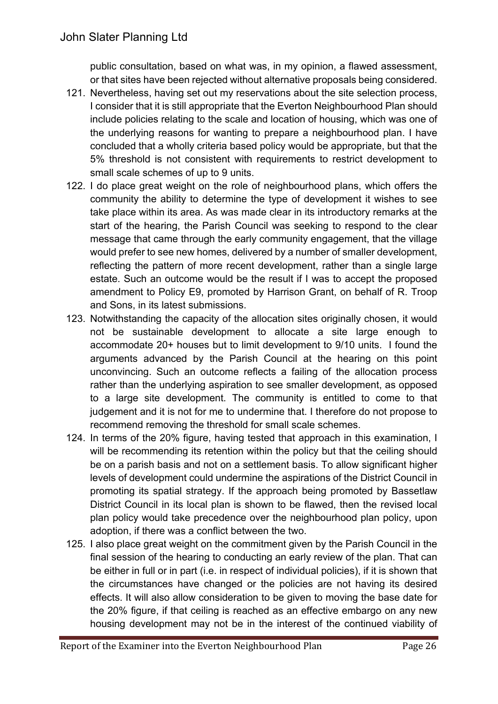public consultation, based on what was, in my opinion, a flawed assessment, or that sites have been rejected without alternative proposals being considered.

- 121. Nevertheless, having set out my reservations about the site selection process, I consider that it is still appropriate that the Everton Neighbourhood Plan should include policies relating to the scale and location of housing, which was one of the underlying reasons for wanting to prepare a neighbourhood plan. I have concluded that a wholly criteria based policy would be appropriate, but that the 5% threshold is not consistent with requirements to restrict development to small scale schemes of up to 9 units.
- 122. I do place great weight on the role of neighbourhood plans, which offers the community the ability to determine the type of development it wishes to see take place within its area. As was made clear in its introductory remarks at the start of the hearing, the Parish Council was seeking to respond to the clear message that came through the early community engagement, that the village would prefer to see new homes, delivered by a number of smaller development, reflecting the pattern of more recent development, rather than a single large estate. Such an outcome would be the result if I was to accept the proposed amendment to Policy E9, promoted by Harrison Grant, on behalf of R. Troop and Sons, in its latest submissions.
- 123. Notwithstanding the capacity of the allocation sites originally chosen, it would not be sustainable development to allocate a site large enough to accommodate 20+ houses but to limit development to 9/10 units. I found the arguments advanced by the Parish Council at the hearing on this point unconvincing. Such an outcome reflects a failing of the allocation process rather than the underlying aspiration to see smaller development, as opposed to a large site development. The community is entitled to come to that judgement and it is not for me to undermine that. I therefore do not propose to recommend removing the threshold for small scale schemes.
- 124. In terms of the 20% figure, having tested that approach in this examination, I will be recommending its retention within the policy but that the ceiling should be on a parish basis and not on a settlement basis. To allow significant higher levels of development could undermine the aspirations of the District Council in promoting its spatial strategy. If the approach being promoted by Bassetlaw District Council in its local plan is shown to be flawed, then the revised local plan policy would take precedence over the neighbourhood plan policy, upon adoption, if there was a conflict between the two.
- 125. I also place great weight on the commitment given by the Parish Council in the final session of the hearing to conducting an early review of the plan. That can be either in full or in part (i.e. in respect of individual policies), if it is shown that the circumstances have changed or the policies are not having its desired effects. It will also allow consideration to be given to moving the base date for the 20% figure, if that ceiling is reached as an effective embargo on any new housing development may not be in the interest of the continued viability of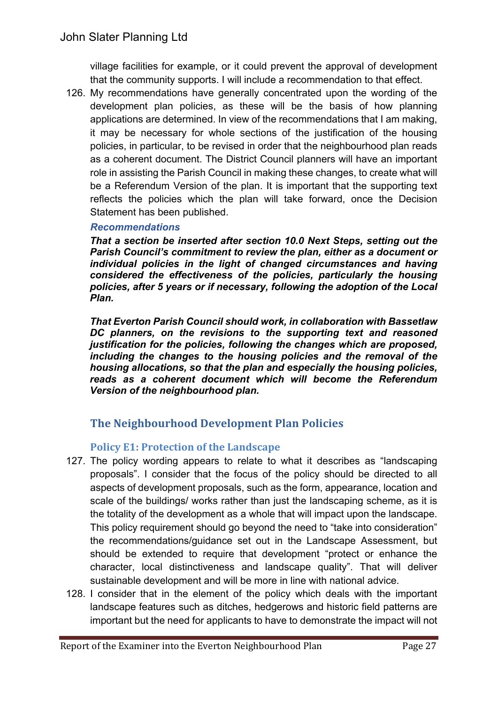village facilities for example, or it could prevent the approval of development that the community supports. I will include a recommendation to that effect.

126. My recommendations have generally concentrated upon the wording of the development plan policies, as these will be the basis of how planning applications are determined. In view of the recommendations that I am making, it may be necessary for whole sections of the justification of the housing policies, in particular, to be revised in order that the neighbourhood plan reads as a coherent document. The District Council planners will have an important role in assisting the Parish Council in making these changes, to create what will be a Referendum Version of the plan. It is important that the supporting text reflects the policies which the plan will take forward, once the Decision Statement has been published.

#### *Recommendations*

*That a section be inserted after section 10.0 Next Steps, setting out the Parish Council's commitment to review the plan, either as a document or individual policies in the light of changed circumstances and having considered the effectiveness of the policies, particularly the housing policies, after 5 years or if necessary, following the adoption of the Local Plan.*

*That Everton Parish Council should work, in collaboration with Bassetlaw DC planners, on the revisions to the supporting text and reasoned justification for the policies, following the changes which are proposed, including the changes to the housing policies and the removal of the housing allocations, so that the plan and especially the housing policies, reads as a coherent document which will become the Referendum Version of the neighbourhood plan.*

## **The Neighbourhood Development Plan Policies**

## **Policy E1: Protection of the Landscape**

- 127. The policy wording appears to relate to what it describes as "landscaping proposals". I consider that the focus of the policy should be directed to all aspects of development proposals, such as the form, appearance, location and scale of the buildings/ works rather than just the landscaping scheme, as it is the totality of the development as a whole that will impact upon the landscape. This policy requirement should go beyond the need to "take into consideration" the recommendations/guidance set out in the Landscape Assessment, but should be extended to require that development "protect or enhance the character, local distinctiveness and landscape quality". That will deliver sustainable development and will be more in line with national advice.
- 128. I consider that in the element of the policy which deals with the important landscape features such as ditches, hedgerows and historic field patterns are important but the need for applicants to have to demonstrate the impact will not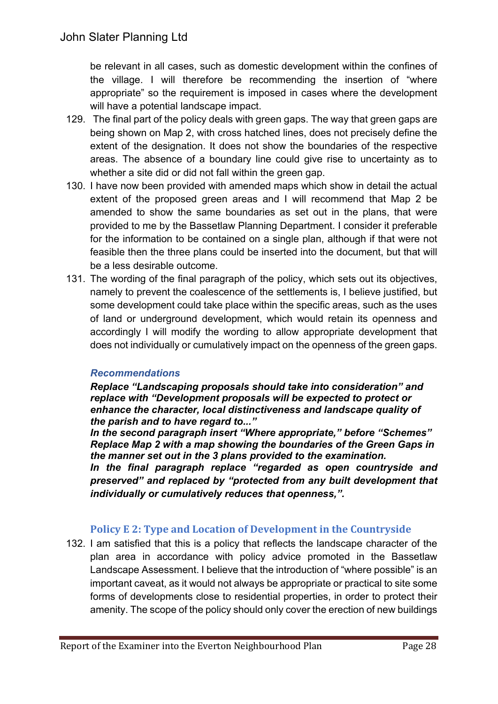be relevant in all cases, such as domestic development within the confines of the village. I will therefore be recommending the insertion of "where appropriate" so the requirement is imposed in cases where the development will have a potential landscape impact.

- 129. The final part of the policy deals with green gaps. The way that green gaps are being shown on Map 2, with cross hatched lines, does not precisely define the extent of the designation. It does not show the boundaries of the respective areas. The absence of a boundary line could give rise to uncertainty as to whether a site did or did not fall within the green gap.
- 130. I have now been provided with amended maps which show in detail the actual extent of the proposed green areas and I will recommend that Map 2 be amended to show the same boundaries as set out in the plans, that were provided to me by the Bassetlaw Planning Department. I consider it preferable for the information to be contained on a single plan, although if that were not feasible then the three plans could be inserted into the document, but that will be a less desirable outcome.
- 131. The wording of the final paragraph of the policy, which sets out its objectives, namely to prevent the coalescence of the settlements is, I believe justified, but some development could take place within the specific areas, such as the uses of land or underground development, which would retain its openness and accordingly I will modify the wording to allow appropriate development that does not individually or cumulatively impact on the openness of the green gaps.

#### *Recommendations*

*Replace "Landscaping proposals should take into consideration" and replace with "Development proposals will be expected to protect or enhance the character, local distinctiveness and landscape quality of the parish and to have regard to..."*

*In the second paragraph insert "Where appropriate," before "Schemes" Replace Map 2 with a map showing the boundaries of the Green Gaps in the manner set out in the 3 plans provided to the examination.*

*In the final paragraph replace "regarded as open countryside and preserved" and replaced by "protected from any built development that individually or cumulatively reduces that openness,".*

#### **Policy E 2: Type and Location of Development in the Countryside**

132. I am satisfied that this is a policy that reflects the landscape character of the plan area in accordance with policy advice promoted in the Bassetlaw Landscape Assessment. I believe that the introduction of "where possible" is an important caveat, as it would not always be appropriate or practical to site some forms of developments close to residential properties, in order to protect their amenity. The scope of the policy should only cover the erection of new buildings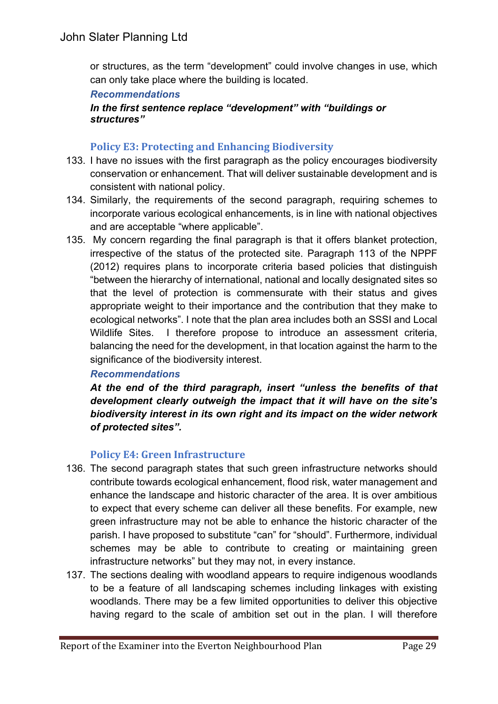or structures, as the term "development" could involve changes in use, which can only take place where the building is located.

#### *Recommendations*

#### *In the first sentence replace "development" with "buildings or structures"*

#### **Policy E3: Protecting and Enhancing Biodiversity**

- 133. I have no issues with the first paragraph as the policy encourages biodiversity conservation or enhancement. That will deliver sustainable development and is consistent with national policy.
- 134. Similarly, the requirements of the second paragraph, requiring schemes to incorporate various ecological enhancements, is in line with national objectives and are acceptable "where applicable".
- 135. My concern regarding the final paragraph is that it offers blanket protection, irrespective of the status of the protected site. Paragraph 113 of the NPPF (2012) requires plans to incorporate criteria based policies that distinguish "between the hierarchy of international, national and locally designated sites so that the level of protection is commensurate with their status and gives appropriate weight to their importance and the contribution that they make to ecological networks". I note that the plan area includes both an SSSI and Local Wildlife Sites. I therefore propose to introduce an assessment criteria, balancing the need for the development, in that location against the harm to the significance of the biodiversity interest.

#### *Recommendations*

*At the end of the third paragraph, insert "unless the benefits of that development clearly outweigh the impact that it will have on the site's biodiversity interest in its own right and its impact on the wider network of protected sites".*

#### **Policy E4: Green Infrastructure**

- 136. The second paragraph states that such green infrastructure networks should contribute towards ecological enhancement, flood risk, water management and enhance the landscape and historic character of the area. It is over ambitious to expect that every scheme can deliver all these benefits. For example, new green infrastructure may not be able to enhance the historic character of the parish. I have proposed to substitute "can" for "should". Furthermore, individual schemes may be able to contribute to creating or maintaining green infrastructure networks" but they may not, in every instance.
- 137. The sections dealing with woodland appears to require indigenous woodlands to be a feature of all landscaping schemes including linkages with existing woodlands. There may be a few limited opportunities to deliver this objective having regard to the scale of ambition set out in the plan. I will therefore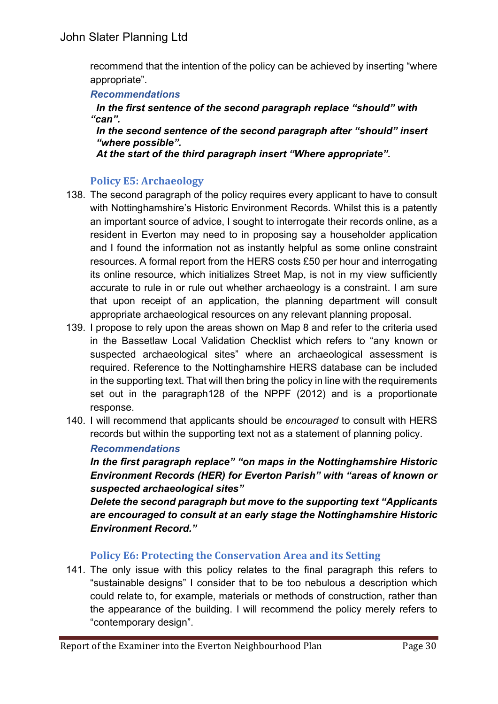recommend that the intention of the policy can be achieved by inserting "where appropriate".

#### *Recommendations*

*In the first sentence of the second paragraph replace "should" with "can".*

*In the second sentence of the second paragraph after "should" insert "where possible".*

*At the start of the third paragraph insert "Where appropriate".*

## **Policy E5: Archaeology**

- 138. The second paragraph of the policy requires every applicant to have to consult with Nottinghamshire's Historic Environment Records. Whilst this is a patently an important source of advice, I sought to interrogate their records online, as a resident in Everton may need to in proposing say a householder application and I found the information not as instantly helpful as some online constraint resources. A formal report from the HERS costs £50 per hour and interrogating its online resource, which initializes Street Map, is not in my view sufficiently accurate to rule in or rule out whether archaeology is a constraint. I am sure that upon receipt of an application, the planning department will consult appropriate archaeological resources on any relevant planning proposal.
- 139. I propose to rely upon the areas shown on Map 8 and refer to the criteria used in the Bassetlaw Local Validation Checklist which refers to "any known or suspected archaeological sites" where an archaeological assessment is required. Reference to the Nottinghamshire HERS database can be included in the supporting text. That will then bring the policy in line with the requirements set out in the paragraph128 of the NPPF (2012) and is a proportionate response.
- 140. I will recommend that applicants should be *encouraged* to consult with HERS records but within the supporting text not as a statement of planning policy.

#### *Recommendations*

*In the first paragraph replace" "on maps in the Nottinghamshire Historic Environment Records (HER) for Everton Parish" with "areas of known or suspected archaeological sites"*

*Delete the second paragraph but move to the supporting text "Applicants are encouraged to consult at an early stage the Nottinghamshire Historic Environment Record."*

#### **Policy E6: Protecting the Conservation Area and its Setting**

141. The only issue with this policy relates to the final paragraph this refers to "sustainable designs" I consider that to be too nebulous a description which could relate to, for example, materials or methods of construction, rather than the appearance of the building. I will recommend the policy merely refers to "contemporary design".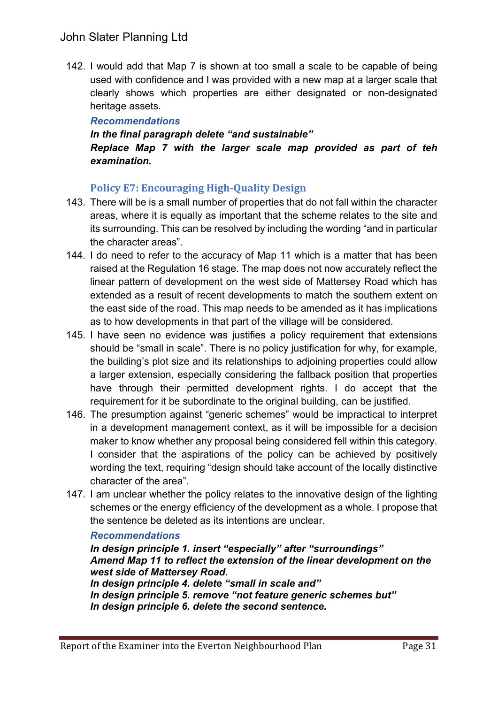# John Slater Planning Ltd

142. I would add that Map 7 is shown at too small a scale to be capable of being used with confidence and I was provided with a new map at a larger scale that clearly shows which properties are either designated or non-designated heritage assets.

#### *Recommendations*

## *In the final paragraph delete "and sustainable" Replace Map 7 with the larger scale map provided as part of teh examination.*

## **Policy E7: Encouraging High-Quality Design**

- 143. There will be is a small number of properties that do not fall within the character areas, where it is equally as important that the scheme relates to the site and its surrounding. This can be resolved by including the wording "and in particular the character areas".
- 144. I do need to refer to the accuracy of Map 11 which is a matter that has been raised at the Regulation 16 stage. The map does not now accurately reflect the linear pattern of development on the west side of Mattersey Road which has extended as a result of recent developments to match the southern extent on the east side of the road. This map needs to be amended as it has implications as to how developments in that part of the village will be considered.
- 145. I have seen no evidence was justifies a policy requirement that extensions should be "small in scale". There is no policy justification for why, for example, the building's plot size and its relationships to adjoining properties could allow a larger extension, especially considering the fallback position that properties have through their permitted development rights. I do accept that the requirement for it be subordinate to the original building, can be justified.
- 146. The presumption against "generic schemes" would be impractical to interpret in a development management context, as it will be impossible for a decision maker to know whether any proposal being considered fell within this category. I consider that the aspirations of the policy can be achieved by positively wording the text, requiring "design should take account of the locally distinctive character of the area".
- 147. I am unclear whether the policy relates to the innovative design of the lighting schemes or the energy efficiency of the development as a whole. I propose that the sentence be deleted as its intentions are unclear.

#### *Recommendations*

*In design principle 1. insert "especially" after "surroundings" Amend Map 11 to reflect the extension of the linear development on the west side of Mattersey Road. In design principle 4. delete "small in scale and" In design principle 5. remove "not feature generic schemes but"*

*In design principle 6. delete the second sentence.*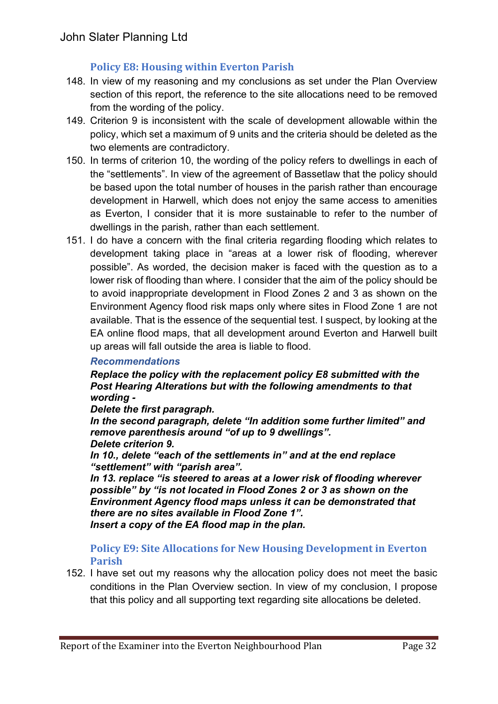## **Policy E8: Housing within Everton Parish**

- 148. In view of my reasoning and my conclusions as set under the Plan Overview section of this report, the reference to the site allocations need to be removed from the wording of the policy.
- 149. Criterion 9 is inconsistent with the scale of development allowable within the policy, which set a maximum of 9 units and the criteria should be deleted as the two elements are contradictory.
- 150. In terms of criterion 10, the wording of the policy refers to dwellings in each of the "settlements". In view of the agreement of Bassetlaw that the policy should be based upon the total number of houses in the parish rather than encourage development in Harwell, which does not enjoy the same access to amenities as Everton, I consider that it is more sustainable to refer to the number of dwellings in the parish, rather than each settlement.
- 151. I do have a concern with the final criteria regarding flooding which relates to development taking place in "areas at a lower risk of flooding, wherever possible". As worded, the decision maker is faced with the question as to a lower risk of flooding than where. I consider that the aim of the policy should be to avoid inappropriate development in Flood Zones 2 and 3 as shown on the Environment Agency flood risk maps only where sites in Flood Zone 1 are not available. That is the essence of the sequential test. I suspect, by looking at the EA online flood maps, that all development around Everton and Harwell built up areas will fall outside the area is liable to flood.

#### *Recommendations*

*Replace the policy with the replacement policy E8 submitted with the Post Hearing Alterations but with the following amendments to that wording -*

*Delete the first paragraph.*

*In the second paragraph, delete "In addition some further limited" and remove parenthesis around "of up to 9 dwellings".*

*Delete criterion 9. In 10., delete "each of the settlements in" and at the end replace*

*"settlement" with "parish area".*

*In 13. replace "is steered to areas at a lower risk of flooding wherever possible" by "is not located in Flood Zones 2 or 3 as shown on the Environment Agency flood maps unless it can be demonstrated that there are no sites available in Flood Zone 1". Insert a copy of the EA flood map in the plan.*

**Policy E9: Site Allocations for New Housing Development in Everton Parish**

152. I have set out my reasons why the allocation policy does not meet the basic conditions in the Plan Overview section. In view of my conclusion, I propose that this policy and all supporting text regarding site allocations be deleted.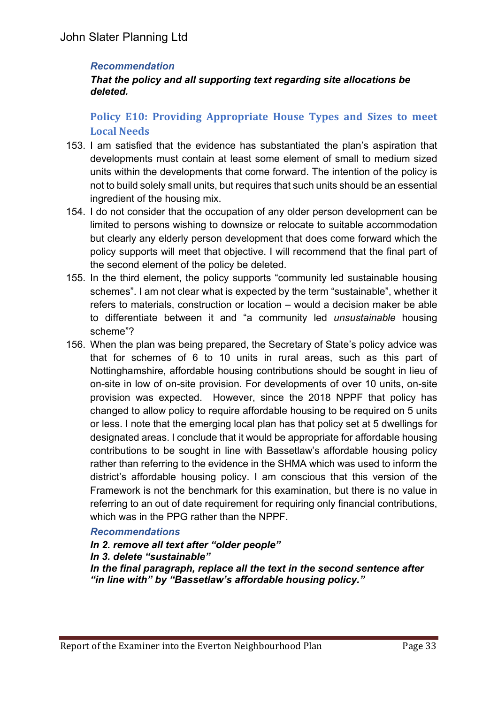#### *Recommendation*

#### *That the policy and all supporting text regarding site allocations be deleted.*

# **Policy E10: Providing Appropriate House Types and Sizes to meet Local Needs**

- 153. I am satisfied that the evidence has substantiated the plan's aspiration that developments must contain at least some element of small to medium sized units within the developments that come forward. The intention of the policy is not to build solely small units, but requires that such units should be an essential ingredient of the housing mix.
- 154. I do not consider that the occupation of any older person development can be limited to persons wishing to downsize or relocate to suitable accommodation but clearly any elderly person development that does come forward which the policy supports will meet that objective. I will recommend that the final part of the second element of the policy be deleted.
- 155. In the third element, the policy supports "community led sustainable housing schemes". I am not clear what is expected by the term "sustainable", whether it refers to materials, construction or location – would a decision maker be able to differentiate between it and "a community led *unsustainable* housing scheme"?
- 156. When the plan was being prepared, the Secretary of State's policy advice was that for schemes of 6 to 10 units in rural areas, such as this part of Nottinghamshire, affordable housing contributions should be sought in lieu of on-site in low of on-site provision. For developments of over 10 units, on-site provision was expected. However, since the 2018 NPPF that policy has changed to allow policy to require affordable housing to be required on 5 units or less. I note that the emerging local plan has that policy set at 5 dwellings for designated areas. I conclude that it would be appropriate for affordable housing contributions to be sought in line with Bassetlaw's affordable housing policy rather than referring to the evidence in the SHMA which was used to inform the district's affordable housing policy. I am conscious that this version of the Framework is not the benchmark for this examination, but there is no value in referring to an out of date requirement for requiring only financial contributions, which was in the PPG rather than the NPPF.

#### *Recommendations*

*In 2. remove all text after "older people" In 3. delete "sustainable" In the final paragraph, replace all the text in the second sentence after "in line with" by "Bassetlaw's affordable housing policy."*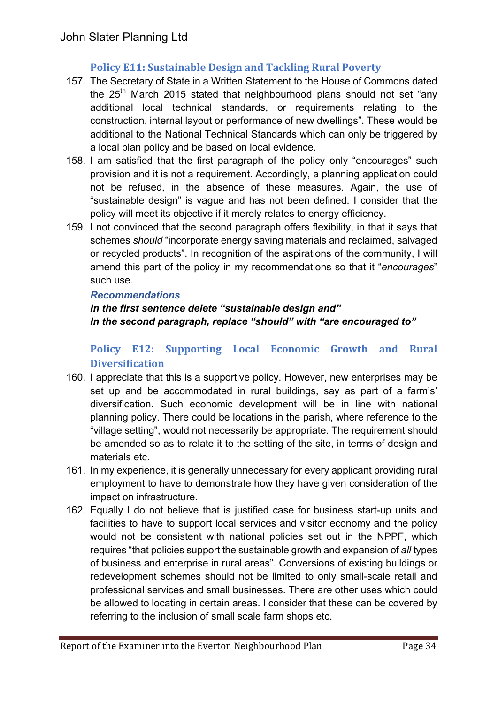# **Policy E11: Sustainable Design and Tackling Rural Poverty**

- 157. The Secretary of State in a Written Statement to the House of Commons dated the 25<sup>th</sup> March 2015 stated that neighbourhood plans should not set "any additional local technical standards, or requirements relating to the construction, internal layout or performance of new dwellings". These would be additional to the National Technical Standards which can only be triggered by a local plan policy and be based on local evidence.
- 158. I am satisfied that the first paragraph of the policy only "encourages" such provision and it is not a requirement. Accordingly, a planning application could not be refused, in the absence of these measures. Again, the use of "sustainable design" is vague and has not been defined. I consider that the policy will meet its objective if it merely relates to energy efficiency.
- 159. I not convinced that the second paragraph offers flexibility, in that it says that schemes *should* "incorporate energy saving materials and reclaimed, salvaged or recycled products". In recognition of the aspirations of the community, I will amend this part of the policy in my recommendations so that it "*encourages*" such use.

#### *Recommendations*

# *In the first sentence delete "sustainable design and" In the second paragraph, replace "should" with "are encouraged to"*

# **Policy E12: Supporting Local Economic Growth and Rural Diversification**

- 160. I appreciate that this is a supportive policy. However, new enterprises may be set up and be accommodated in rural buildings, say as part of a farm's' diversification. Such economic development will be in line with national planning policy. There could be locations in the parish, where reference to the "village setting", would not necessarily be appropriate. The requirement should be amended so as to relate it to the setting of the site, in terms of design and materials etc.
- 161. In my experience, it is generally unnecessary for every applicant providing rural employment to have to demonstrate how they have given consideration of the impact on infrastructure.
- 162. Equally I do not believe that is justified case for business start-up units and facilities to have to support local services and visitor economy and the policy would not be consistent with national policies set out in the NPPF, which requires "that policies support the sustainable growth and expansion of *all* types of business and enterprise in rural areas". Conversions of existing buildings or redevelopment schemes should not be limited to only small-scale retail and professional services and small businesses. There are other uses which could be allowed to locating in certain areas. I consider that these can be covered by referring to the inclusion of small scale farm shops etc.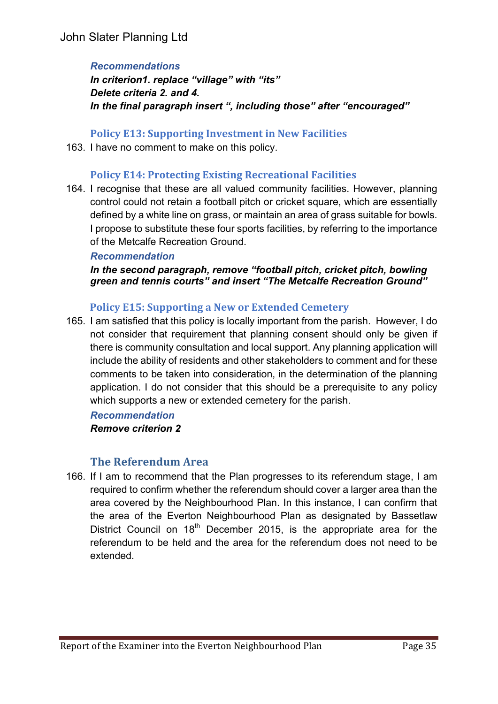#### *Recommendations*

*In criterion1. replace "village" with "its" Delete criteria 2. and 4. In the final paragraph insert ", including those" after "encouraged"*

**Policy E13: Supporting Investment in New Facilities**

163. I have no comment to make on this policy.

#### **Policy E14: Protecting Existing Recreational Facilities**

164. I recognise that these are all valued community facilities. However, planning control could not retain a football pitch or cricket square, which are essentially defined by a white line on grass, or maintain an area of grass suitable for bowls. I propose to substitute these four sports facilities, by referring to the importance of the Metcalfe Recreation Ground.

#### *Recommendation*

*In the second paragraph, remove "football pitch, cricket pitch, bowling green and tennis courts" and insert "The Metcalfe Recreation Ground"*

#### **Policy E15: Supporting a New or Extended Cemetery**

165. I am satisfied that this policy is locally important from the parish. However, I do not consider that requirement that planning consent should only be given if there is community consultation and local support. Any planning application will include the ability of residents and other stakeholders to comment and for these comments to be taken into consideration, in the determination of the planning application. I do not consider that this should be a prerequisite to any policy which supports a new or extended cemetery for the parish.

#### *Recommendation*

#### *Remove criterion 2*

## **The Referendum Area**

166. If I am to recommend that the Plan progresses to its referendum stage, I am required to confirm whether the referendum should cover a larger area than the area covered by the Neighbourhood Plan. In this instance, I can confirm that the area of the Everton Neighbourhood Plan as designated by Bassetlaw District Council on 18<sup>th</sup> December 2015, is the appropriate area for the referendum to be held and the area for the referendum does not need to be extended.